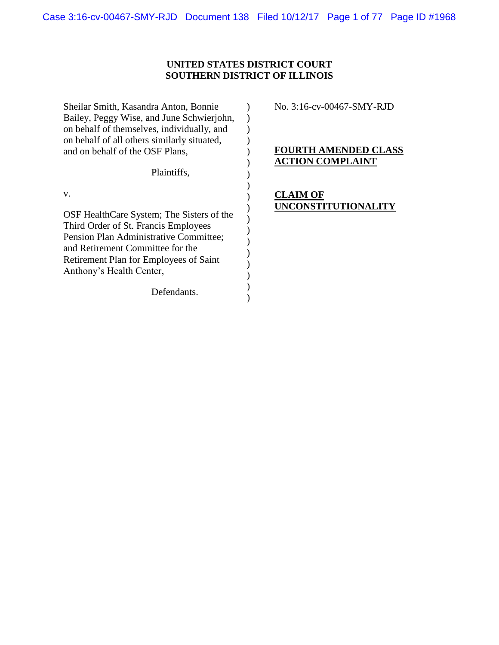# **UNITED STATES DISTRICT COURT SOUTHERN DISTRICT OF ILLINOIS**

| Sheilar Smith, Kasandra Anton, Bonnie<br>Bailey, Peggy Wise, and June Schwierjohn,<br>on behalf of themselves, individually, and<br>on behalf of all others similarly situated,                                                             | No. 3:16-cv-00467-SMY-RJD                              |
|---------------------------------------------------------------------------------------------------------------------------------------------------------------------------------------------------------------------------------------------|--------------------------------------------------------|
| and on behalf of the OSF Plans,                                                                                                                                                                                                             | <b>FOURTH AMENDED CLASS</b><br><b>ACTION COMPLAINT</b> |
| Plaintiffs,                                                                                                                                                                                                                                 |                                                        |
| V.<br>OSF HealthCare System; The Sisters of the<br>Third Order of St. Francis Employees<br>Pension Plan Administrative Committee;<br>and Retirement Committee for the<br>Retirement Plan for Employees of Saint<br>Anthony's Health Center, | CLAIM OF<br>UNCONSTITUTIONALITY                        |
| Defendants.                                                                                                                                                                                                                                 |                                                        |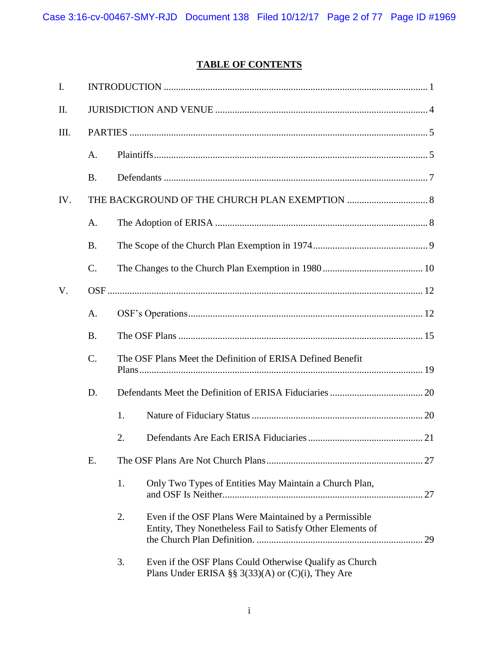# **TABLE OF CONTENTS**

| I.  |                 |                                                            |                                                                                                                      |    |
|-----|-----------------|------------------------------------------------------------|----------------------------------------------------------------------------------------------------------------------|----|
| II. |                 |                                                            |                                                                                                                      |    |
| Ш.  |                 |                                                            |                                                                                                                      |    |
|     | $A_{\cdot}$     |                                                            |                                                                                                                      |    |
|     | <b>B.</b>       |                                                            |                                                                                                                      |    |
| IV. |                 |                                                            |                                                                                                                      |    |
|     | A.              |                                                            |                                                                                                                      |    |
|     | <b>B.</b>       |                                                            |                                                                                                                      |    |
|     | $\mathcal{C}$ . |                                                            |                                                                                                                      |    |
| V.  |                 |                                                            |                                                                                                                      |    |
|     | A.              |                                                            |                                                                                                                      |    |
|     | <b>B.</b>       |                                                            |                                                                                                                      |    |
|     | $C$ .           | The OSF Plans Meet the Definition of ERISA Defined Benefit |                                                                                                                      |    |
|     | D.              |                                                            |                                                                                                                      |    |
|     |                 | 1.                                                         |                                                                                                                      |    |
|     |                 | 2.                                                         |                                                                                                                      |    |
|     | Ε.              |                                                            |                                                                                                                      |    |
|     |                 | 1.                                                         | Only Two Types of Entities May Maintain a Church Plan,                                                               |    |
|     |                 | 2.                                                         | Even if the OSF Plans Were Maintained by a Permissible<br>Entity, They Nonetheless Fail to Satisfy Other Elements of | 29 |
|     |                 | 3.                                                         | Even if the OSF Plans Could Otherwise Qualify as Church<br>Plans Under ERISA §§ $3(33)(A)$ or $(C)(i)$ , They Are    |    |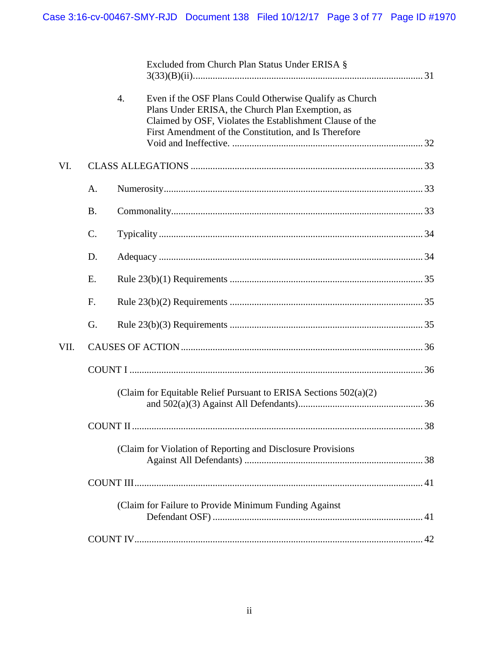|      |           |                  | Excluded from Church Plan Status Under ERISA §                                                                                                                                                                                   |  |  |
|------|-----------|------------------|----------------------------------------------------------------------------------------------------------------------------------------------------------------------------------------------------------------------------------|--|--|
|      |           | $\overline{4}$ . | Even if the OSF Plans Could Otherwise Qualify as Church<br>Plans Under ERISA, the Church Plan Exemption, as<br>Claimed by OSF, Violates the Establishment Clause of the<br>First Amendment of the Constitution, and Is Therefore |  |  |
| VI.  |           |                  |                                                                                                                                                                                                                                  |  |  |
|      | A.        |                  |                                                                                                                                                                                                                                  |  |  |
|      | <b>B.</b> |                  |                                                                                                                                                                                                                                  |  |  |
|      | C.        |                  |                                                                                                                                                                                                                                  |  |  |
|      | D.        |                  |                                                                                                                                                                                                                                  |  |  |
|      | E.        |                  |                                                                                                                                                                                                                                  |  |  |
|      | F.        |                  |                                                                                                                                                                                                                                  |  |  |
|      | G.        |                  |                                                                                                                                                                                                                                  |  |  |
| VII. |           |                  |                                                                                                                                                                                                                                  |  |  |
|      |           |                  |                                                                                                                                                                                                                                  |  |  |
|      |           |                  | (Claim for Equitable Relief Pursuant to ERISA Sections 502(a)(2)                                                                                                                                                                 |  |  |
|      |           |                  |                                                                                                                                                                                                                                  |  |  |
|      |           |                  | (Claim for Violation of Reporting and Disclosure Provisions                                                                                                                                                                      |  |  |
|      |           |                  |                                                                                                                                                                                                                                  |  |  |
|      |           |                  | (Claim for Failure to Provide Minimum Funding Against                                                                                                                                                                            |  |  |
|      |           |                  |                                                                                                                                                                                                                                  |  |  |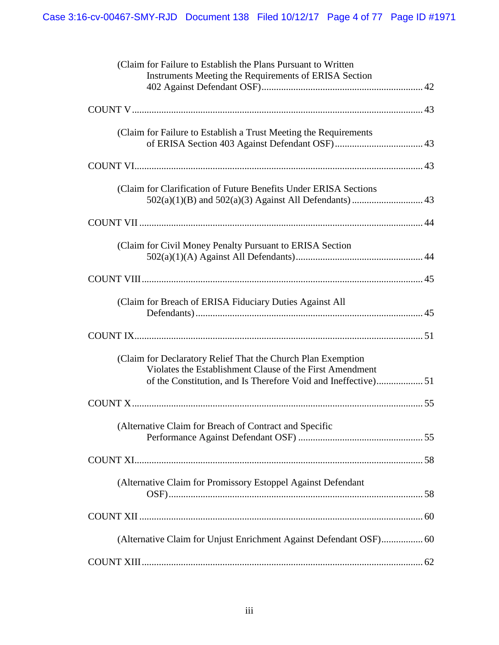| (Claim for Failure to Establish the Plans Pursuant to Written<br>Instruments Meeting the Requirements of ERISA Section   |
|--------------------------------------------------------------------------------------------------------------------------|
|                                                                                                                          |
| (Claim for Failure to Establish a Trust Meeting the Requirements                                                         |
|                                                                                                                          |
| (Claim for Clarification of Future Benefits Under ERISA Sections                                                         |
|                                                                                                                          |
| (Claim for Civil Money Penalty Pursuant to ERISA Section                                                                 |
|                                                                                                                          |
| (Claim for Breach of ERISA Fiduciary Duties Against All                                                                  |
|                                                                                                                          |
| (Claim for Declaratory Relief That the Church Plan Exemption<br>Violates the Establishment Clause of the First Amendment |
|                                                                                                                          |
| (Alternative Claim for Breach of Contract and Specific                                                                   |
|                                                                                                                          |
| (Alternative Claim for Promissory Estoppel Against Defendant                                                             |
|                                                                                                                          |
|                                                                                                                          |
|                                                                                                                          |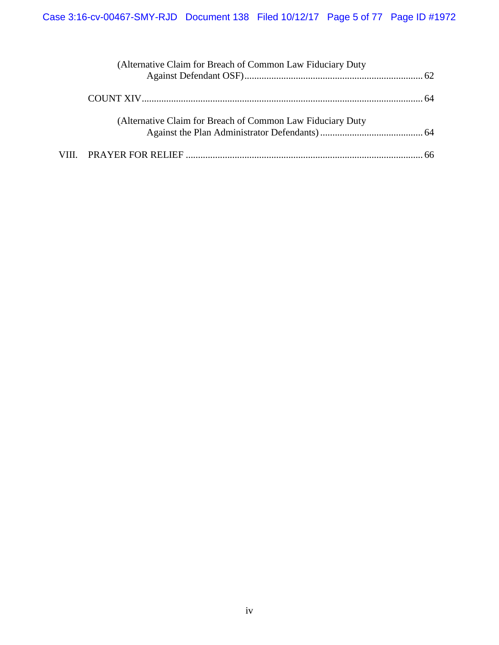| (Alternative Claim for Breach of Common Law Fiduciary Duty  |  |
|-------------------------------------------------------------|--|
|                                                             |  |
|                                                             |  |
| (Alternative Claim for Breach of Common Law Fiduciary Duty) |  |
|                                                             |  |
|                                                             |  |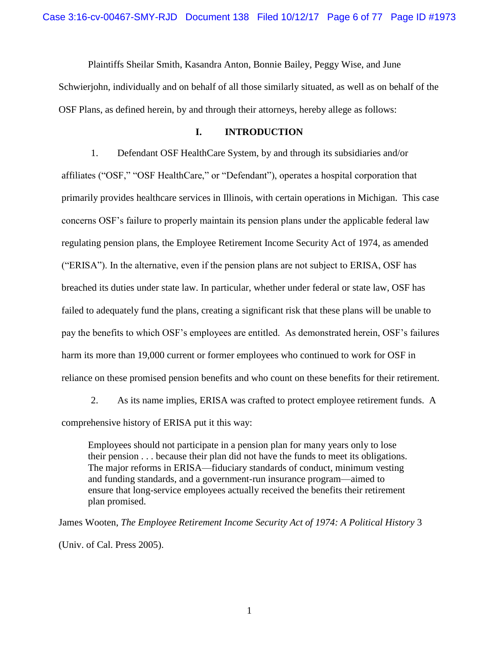Plaintiffs Sheilar Smith, Kasandra Anton, Bonnie Bailey, Peggy Wise, and June Schwierjohn, individually and on behalf of all those similarly situated, as well as on behalf of the OSF Plans, as defined herein, by and through their attorneys, hereby allege as follows:

### **I. INTRODUCTION**

<span id="page-5-0"></span>1. Defendant OSF HealthCare System, by and through its subsidiaries and/or affiliates ("OSF," "OSF HealthCare," or "Defendant"), operates a hospital corporation that primarily provides healthcare services in Illinois, with certain operations in Michigan. This case concerns OSF's failure to properly maintain its pension plans under the applicable federal law regulating pension plans, the Employee Retirement Income Security Act of 1974, as amended ("ERISA"). In the alternative, even if the pension plans are not subject to ERISA, OSF has breached its duties under state law. In particular, whether under federal or state law, OSF has failed to adequately fund the plans, creating a significant risk that these plans will be unable to pay the benefits to which OSF's employees are entitled. As demonstrated herein, OSF's failures harm its more than 19,000 current or former employees who continued to work for OSF in reliance on these promised pension benefits and who count on these benefits for their retirement.

2. As its name implies, ERISA was crafted to protect employee retirement funds. A comprehensive history of ERISA put it this way:

Employees should not participate in a pension plan for many years only to lose their pension . . . because their plan did not have the funds to meet its obligations. The major reforms in ERISA—fiduciary standards of conduct, minimum vesting and funding standards, and a government-run insurance program—aimed to ensure that long-service employees actually received the benefits their retirement plan promised.

James Wooten, *The Employee Retirement Income Security Act of 1974: A Political History* 3 (Univ. of Cal. Press 2005).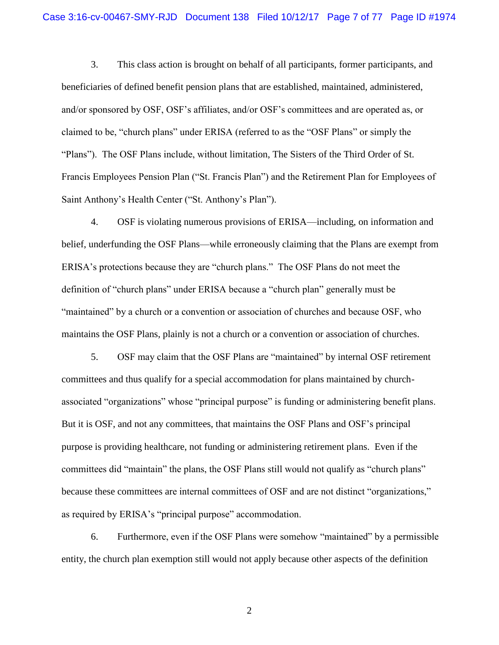3. This class action is brought on behalf of all participants, former participants, and beneficiaries of defined benefit pension plans that are established, maintained, administered, and/or sponsored by OSF, OSF's affiliates, and/or OSF's committees and are operated as, or claimed to be, "church plans" under ERISA (referred to as the "OSF Plans" or simply the "Plans"). The OSF Plans include, without limitation, The Sisters of the Third Order of St. Francis Employees Pension Plan ("St. Francis Plan") and the Retirement Plan for Employees of Saint Anthony's Health Center ("St. Anthony's Plan").

4. OSF is violating numerous provisions of ERISA—including, on information and belief, underfunding the OSF Plans—while erroneously claiming that the Plans are exempt from ERISA's protections because they are "church plans." The OSF Plans do not meet the definition of "church plans" under ERISA because a "church plan" generally must be "maintained" by a church or a convention or association of churches and because OSF, who maintains the OSF Plans, plainly is not a church or a convention or association of churches.

5. OSF may claim that the OSF Plans are "maintained" by internal OSF retirement committees and thus qualify for a special accommodation for plans maintained by churchassociated "organizations" whose "principal purpose" is funding or administering benefit plans. But it is OSF, and not any committees, that maintains the OSF Plans and OSF's principal purpose is providing healthcare, not funding or administering retirement plans. Even if the committees did "maintain" the plans, the OSF Plans still would not qualify as "church plans" because these committees are internal committees of OSF and are not distinct "organizations," as required by ERISA's "principal purpose" accommodation.

6. Furthermore, even if the OSF Plans were somehow "maintained" by a permissible entity, the church plan exemption still would not apply because other aspects of the definition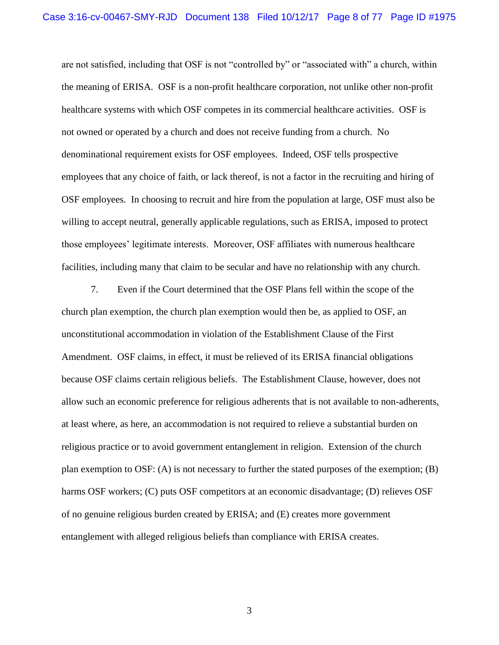are not satisfied, including that OSF is not "controlled by" or "associated with" a church, within the meaning of ERISA. OSF is a non-profit healthcare corporation, not unlike other non-profit healthcare systems with which OSF competes in its commercial healthcare activities. OSF is not owned or operated by a church and does not receive funding from a church. No denominational requirement exists for OSF employees. Indeed, OSF tells prospective employees that any choice of faith, or lack thereof, is not a factor in the recruiting and hiring of OSF employees. In choosing to recruit and hire from the population at large, OSF must also be willing to accept neutral, generally applicable regulations, such as ERISA, imposed to protect those employees' legitimate interests. Moreover, OSF affiliates with numerous healthcare facilities, including many that claim to be secular and have no relationship with any church.

7. Even if the Court determined that the OSF Plans fell within the scope of the church plan exemption, the church plan exemption would then be, as applied to OSF, an unconstitutional accommodation in violation of the Establishment Clause of the First Amendment. OSF claims, in effect, it must be relieved of its ERISA financial obligations because OSF claims certain religious beliefs. The Establishment Clause, however, does not allow such an economic preference for religious adherents that is not available to non-adherents, at least where, as here, an accommodation is not required to relieve a substantial burden on religious practice or to avoid government entanglement in religion. Extension of the church plan exemption to OSF: (A) is not necessary to further the stated purposes of the exemption; (B) harms OSF workers; (C) puts OSF competitors at an economic disadvantage; (D) relieves OSF of no genuine religious burden created by ERISA; and (E) creates more government entanglement with alleged religious beliefs than compliance with ERISA creates.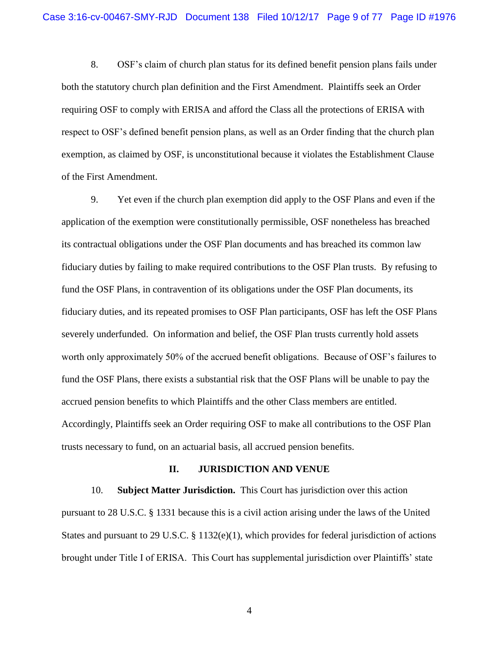8. OSF's claim of church plan status for its defined benefit pension plans fails under both the statutory church plan definition and the First Amendment. Plaintiffs seek an Order requiring OSF to comply with ERISA and afford the Class all the protections of ERISA with respect to OSF's defined benefit pension plans, as well as an Order finding that the church plan exemption, as claimed by OSF, is unconstitutional because it violates the Establishment Clause of the First Amendment.

9. Yet even if the church plan exemption did apply to the OSF Plans and even if the application of the exemption were constitutionally permissible, OSF nonetheless has breached its contractual obligations under the OSF Plan documents and has breached its common law fiduciary duties by failing to make required contributions to the OSF Plan trusts. By refusing to fund the OSF Plans, in contravention of its obligations under the OSF Plan documents, its fiduciary duties, and its repeated promises to OSF Plan participants, OSF has left the OSF Plans severely underfunded. On information and belief, the OSF Plan trusts currently hold assets worth only approximately 50% of the accrued benefit obligations. Because of OSF's failures to fund the OSF Plans, there exists a substantial risk that the OSF Plans will be unable to pay the accrued pension benefits to which Plaintiffs and the other Class members are entitled. Accordingly, Plaintiffs seek an Order requiring OSF to make all contributions to the OSF Plan trusts necessary to fund, on an actuarial basis, all accrued pension benefits.

#### **II. JURISDICTION AND VENUE**

<span id="page-8-0"></span>10. **Subject Matter Jurisdiction.** This Court has jurisdiction over this action pursuant to 28 U.S.C. § 1331 because this is a civil action arising under the laws of the United States and pursuant to 29 U.S.C.  $\S 1132(e)(1)$ , which provides for federal jurisdiction of actions brought under Title I of ERISA. This Court has supplemental jurisdiction over Plaintiffs' state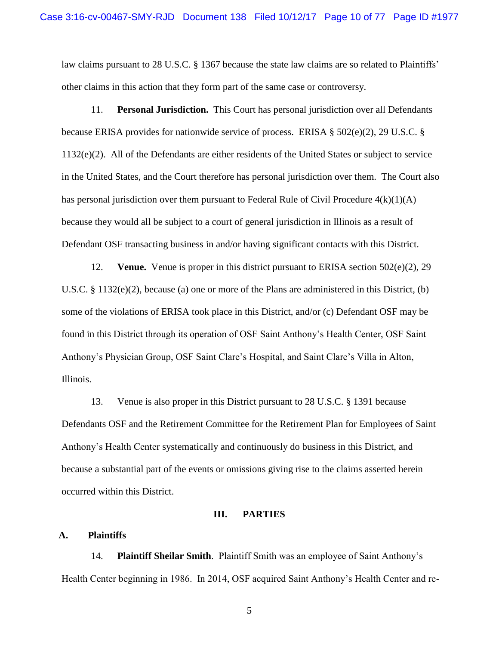law claims pursuant to 28 U.S.C. § 1367 because the state law claims are so related to Plaintiffs' other claims in this action that they form part of the same case or controversy.

11. **Personal Jurisdiction.** This Court has personal jurisdiction over all Defendants because ERISA provides for nationwide service of process. ERISA § 502(e)(2), 29 U.S.C. § 1132(e)(2). All of the Defendants are either residents of the United States or subject to service in the United States, and the Court therefore has personal jurisdiction over them. The Court also has personal jurisdiction over them pursuant to Federal Rule of Civil Procedure  $4(k)(1)(A)$ because they would all be subject to a court of general jurisdiction in Illinois as a result of Defendant OSF transacting business in and/or having significant contacts with this District.

12. **Venue.** Venue is proper in this district pursuant to ERISA section 502(e)(2), 29 U.S.C. § 1132(e)(2), because (a) one or more of the Plans are administered in this District, (b) some of the violations of ERISA took place in this District, and/or (c) Defendant OSF may be found in this District through its operation of OSF Saint Anthony's Health Center, OSF Saint Anthony's Physician Group, OSF Saint Clare's Hospital, and Saint Clare's Villa in Alton, Illinois.

13. Venue is also proper in this District pursuant to 28 U.S.C. § 1391 because Defendants OSF and the Retirement Committee for the Retirement Plan for Employees of Saint Anthony's Health Center systematically and continuously do business in this District, and because a substantial part of the events or omissions giving rise to the claims asserted herein occurred within this District.

#### **III. PARTIES**

#### <span id="page-9-1"></span><span id="page-9-0"></span>**A. Plaintiffs**

14. **Plaintiff Sheilar Smith**. Plaintiff Smith was an employee of Saint Anthony's Health Center beginning in 1986. In 2014, OSF acquired Saint Anthony's Health Center and re-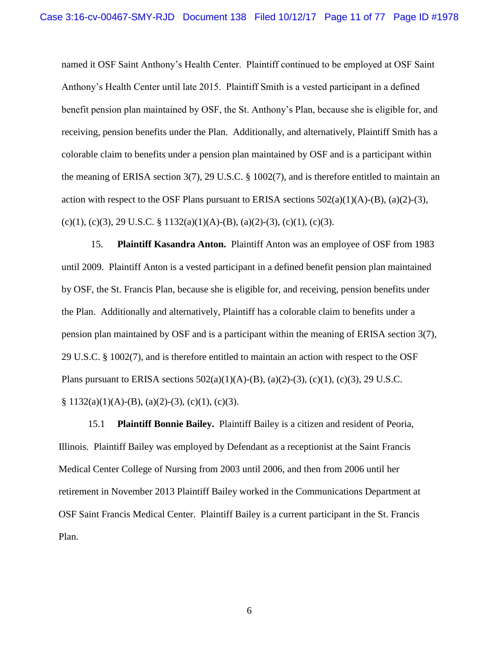named it OSF Saint Anthony's Health Center. Plaintiff continued to be employed at OSF Saint Anthony's Health Center until late 2015. Plaintiff Smith is a vested participant in a defined benefit pension plan maintained by OSF, the St. Anthony's Plan, because she is eligible for, and receiving, pension benefits under the Plan. Additionally, and alternatively, Plaintiff Smith has a colorable claim to benefits under a pension plan maintained by OSF and is a participant within the meaning of ERISA section 3(7), 29 U.S.C. § 1002(7), and is therefore entitled to maintain an action with respect to the OSF Plans pursuant to ERISA sections  $502(a)(1)(A)$ -(B),  $(a)(2)$ -(3),  $(c)(1)$ ,  $(c)(3)$ ,  $29$  U.S.C. § 1132(a)(1)(A)-(B), (a)(2)-(3), (c)(1), (c)(3).

15. **Plaintiff Kasandra Anton.** Plaintiff Anton was an employee of OSF from 1983 until 2009. Plaintiff Anton is a vested participant in a defined benefit pension plan maintained by OSF, the St. Francis Plan, because she is eligible for, and receiving, pension benefits under the Plan. Additionally and alternatively, Plaintiff has a colorable claim to benefits under a pension plan maintained by OSF and is a participant within the meaning of ERISA section 3(7), 29 U.S.C. § 1002(7), and is therefore entitled to maintain an action with respect to the OSF Plans pursuant to ERISA sections  $502(a)(1)(A)-(B)$ ,  $(a)(2)-(3)$ ,  $(c)(1)$ ,  $(c)(3)$ ,  $29$  U.S.C.  $\S 1132(a)(1)(A)-(B), (a)(2)-(3), (c)(1), (c)(3).$ 

15.1 **Plaintiff Bonnie Bailey.** Plaintiff Bailey is a citizen and resident of Peoria, Illinois. Plaintiff Bailey was employed by Defendant as a receptionist at the Saint Francis Medical Center College of Nursing from 2003 until 2006, and then from 2006 until her retirement in November 2013 Plaintiff Bailey worked in the Communications Department at OSF Saint Francis Medical Center. Plaintiff Bailey is a current participant in the St. Francis Plan.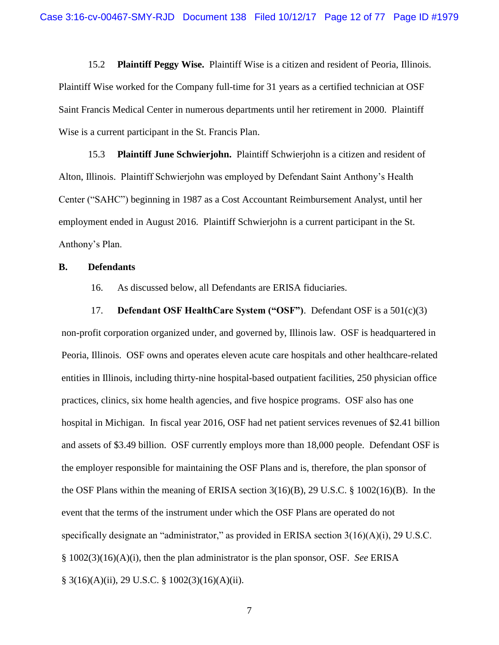15.2 **Plaintiff Peggy Wise.** Plaintiff Wise is a citizen and resident of Peoria, Illinois. Plaintiff Wise worked for the Company full-time for 31 years as a certified technician at OSF Saint Francis Medical Center in numerous departments until her retirement in 2000. Plaintiff Wise is a current participant in the St. Francis Plan.

15.3 **Plaintiff June Schwierjohn.** Plaintiff Schwierjohn is a citizen and resident of Alton, Illinois. Plaintiff Schwierjohn was employed by Defendant Saint Anthony's Health Center ("SAHC") beginning in 1987 as a Cost Accountant Reimbursement Analyst, until her employment ended in August 2016. Plaintiff Schwierjohn is a current participant in the St. Anthony's Plan.

#### <span id="page-11-0"></span>**B. Defendants**

16. As discussed below, all Defendants are ERISA fiduciaries.

17. **Defendant OSF HealthCare System ("OSF")**. Defendant OSF is a 501(c)(3) non-profit corporation organized under, and governed by, Illinois law. OSF is headquartered in Peoria, Illinois. OSF owns and operates eleven acute care hospitals and other healthcare-related entities in Illinois, including thirty-nine hospital-based outpatient facilities, 250 physician office practices, clinics, six home health agencies, and five hospice programs. OSF also has one hospital in Michigan. In fiscal year 2016, OSF had net patient services revenues of \$2.41 billion and assets of \$3.49 billion. OSF currently employs more than 18,000 people. Defendant OSF is the employer responsible for maintaining the OSF Plans and is, therefore, the plan sponsor of the OSF Plans within the meaning of ERISA section 3(16)(B), 29 U.S.C. § 1002(16)(B). In the event that the terms of the instrument under which the OSF Plans are operated do not specifically designate an "administrator," as provided in ERISA section 3(16)(A)(i), 29 U.S.C. § 1002(3)(16)(A)(i), then the plan administrator is the plan sponsor, OSF. *See* ERISA § 3(16)(A)(ii), 29 U.S.C. § 1002(3)(16)(A)(ii).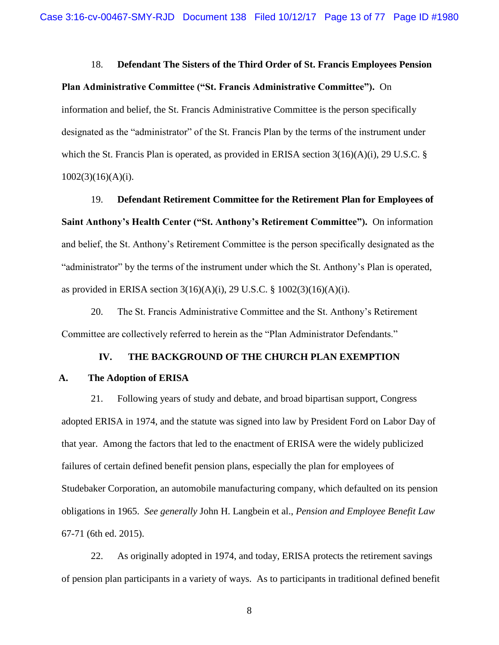#### 18. **Defendant The Sisters of the Third Order of St. Francis Employees Pension**

#### **Plan Administrative Committee ("St. Francis Administrative Committee").** On

information and belief, the St. Francis Administrative Committee is the person specifically designated as the "administrator" of the St. Francis Plan by the terms of the instrument under which the St. Francis Plan is operated, as provided in ERISA section  $3(16)(A)(i)$ , 29 U.S.C. §  $1002(3)(16)(A)(i)$ .

19. **Defendant Retirement Committee for the Retirement Plan for Employees of Saint Anthony's Health Center ("St. Anthony's Retirement Committee").** On information and belief, the St. Anthony's Retirement Committee is the person specifically designated as the "administrator" by the terms of the instrument under which the St. Anthony's Plan is operated, as provided in ERISA section 3(16)(A)(i), 29 U.S.C. § 1002(3)(16)(A)(i).

20. The St. Francis Administrative Committee and the St. Anthony's Retirement Committee are collectively referred to herein as the "Plan Administrator Defendants."

### **IV. THE BACKGROUND OF THE CHURCH PLAN EXEMPTION**

#### <span id="page-12-1"></span><span id="page-12-0"></span>**A. The Adoption of ERISA**

21. Following years of study and debate, and broad bipartisan support, Congress adopted ERISA in 1974, and the statute was signed into law by President Ford on Labor Day of that year. Among the factors that led to the enactment of ERISA were the widely publicized failures of certain defined benefit pension plans, especially the plan for employees of Studebaker Corporation, an automobile manufacturing company, which defaulted on its pension obligations in 1965. *See generally* John H. Langbein et al., *Pension and Employee Benefit Law* 67-71 (6th ed. 2015).

22. As originally adopted in 1974, and today, ERISA protects the retirement savings of pension plan participants in a variety of ways. As to participants in traditional defined benefit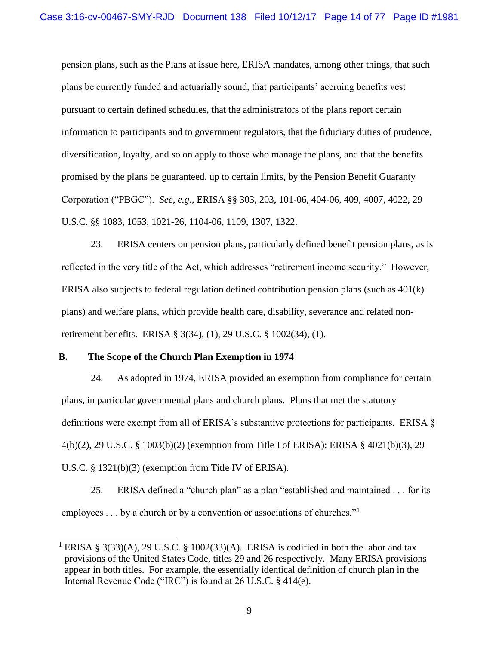pension plans, such as the Plans at issue here, ERISA mandates, among other things, that such plans be currently funded and actuarially sound, that participants' accruing benefits vest pursuant to certain defined schedules, that the administrators of the plans report certain information to participants and to government regulators, that the fiduciary duties of prudence, diversification, loyalty, and so on apply to those who manage the plans, and that the benefits promised by the plans be guaranteed, up to certain limits, by the Pension Benefit Guaranty Corporation ("PBGC"). *See, e.g.*, ERISA §§ 303, 203, 101-06, 404-06, 409, 4007, 4022, 29 U.S.C. §§ 1083, 1053, 1021-26, 1104-06, 1109, 1307, 1322.

23. ERISA centers on pension plans, particularly defined benefit pension plans, as is reflected in the very title of the Act, which addresses "retirement income security." However, ERISA also subjects to federal regulation defined contribution pension plans (such as 401(k) plans) and welfare plans, which provide health care, disability, severance and related nonretirement benefits. ERISA § 3(34), (1), 29 U.S.C. § 1002(34), (1).

#### <span id="page-13-0"></span>**B. The Scope of the Church Plan Exemption in 1974**

 $\overline{a}$ 

24. As adopted in 1974, ERISA provided an exemption from compliance for certain plans, in particular governmental plans and church plans. Plans that met the statutory definitions were exempt from all of ERISA's substantive protections for participants. ERISA § 4(b)(2), 29 U.S.C. § 1003(b)(2) (exemption from Title I of ERISA); ERISA § 4021(b)(3), 29 U.S.C. § 1321(b)(3) (exemption from Title IV of ERISA).

25. ERISA defined a "church plan" as a plan "established and maintained . . . for its employees . . . by a church or by a convention or associations of churches."<sup>1</sup>

<sup>&</sup>lt;sup>1</sup> ERISA § 3(33)(A), 29 U.S.C. § 1002(33)(A). ERISA is codified in both the labor and tax provisions of the United States Code, titles 29 and 26 respectively. Many ERISA provisions appear in both titles. For example, the essentially identical definition of church plan in the Internal Revenue Code ("IRC") is found at 26 U.S.C. § 414(e).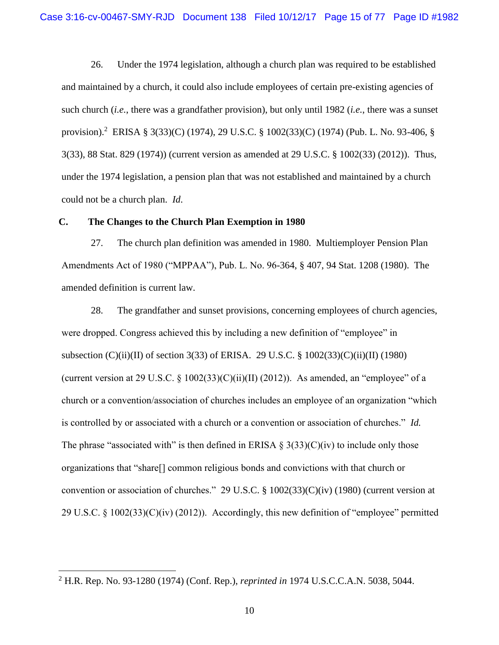26. Under the 1974 legislation, although a church plan was required to be established and maintained by a church, it could also include employees of certain pre-existing agencies of such church (*i.e.*, there was a grandfather provision), but only until 1982 (*i.e.*, there was a sunset provision).<sup>2</sup> ERISA § 3(33)(C) (1974), 29 U.S.C. § 1002(33)(C) (1974) (Pub. L. No. 93-406, § 3(33), 88 Stat. 829 (1974)) (current version as amended at 29 U.S.C. § 1002(33) (2012)). Thus, under the 1974 legislation, a pension plan that was not established and maintained by a church could not be a church plan. *Id*.

### <span id="page-14-0"></span>**C. The Changes to the Church Plan Exemption in 1980**

27. The church plan definition was amended in 1980. Multiemployer Pension Plan Amendments Act of 1980 ("MPPAA"), Pub. L. No. 96-364, § 407, 94 Stat. 1208 (1980). The amended definition is current law.

28. The grandfather and sunset provisions, concerning employees of church agencies, were dropped. Congress achieved this by including a new definition of "employee" in subsection (C)(ii)(II) of section 3(33) of ERISA. 29 U.S.C. § 1002(33)(C)(ii)(II) (1980) (current version at 29 U.S.C.  $\S$  1002(33)(C)(ii)(II) (2012)). As amended, an "employee" of a church or a convention/association of churches includes an employee of an organization "which is controlled by or associated with a church or a convention or association of churches." *Id.* The phrase "associated with" is then defined in ERISA  $\S 3(33)(C)(iv)$  to include only those organizations that "share[] common religious bonds and convictions with that church or convention or association of churches." 29 U.S.C. § 1002(33)(C)(iv) (1980) (current version at 29 U.S.C. § 1002(33)(C)(iv) (2012)). Accordingly, this new definition of "employee" permitted

 $\overline{a}$ 

<sup>2</sup> H.R. Rep. No. 93-1280 (1974) (Conf. Rep.), *reprinted in* 1974 U.S.C.C.A.N. 5038, 5044.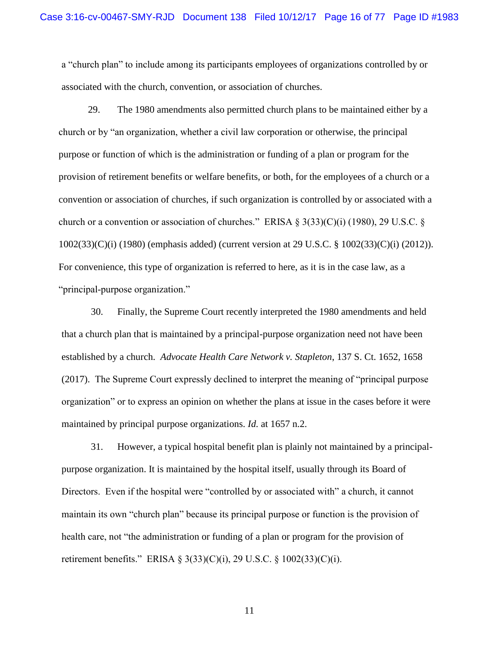a "church plan" to include among its participants employees of organizations controlled by or associated with the church, convention, or association of churches.

29. The 1980 amendments also permitted church plans to be maintained either by a church or by "an organization, whether a civil law corporation or otherwise, the principal purpose or function of which is the administration or funding of a plan or program for the provision of retirement benefits or welfare benefits, or both, for the employees of a church or a convention or association of churches, if such organization is controlled by or associated with a church or a convention or association of churches." ERISA  $\S 3(33)(C)(i)$  (1980), 29 U.S.C.  $\S$ 1002(33)(C)(i) (1980) (emphasis added) (current version at 29 U.S.C. § 1002(33)(C)(i) (2012)). For convenience, this type of organization is referred to here, as it is in the case law, as a "principal-purpose organization."

30. Finally, the Supreme Court recently interpreted the 1980 amendments and held that a church plan that is maintained by a principal-purpose organization need not have been established by a church. *Advocate Health Care Network v. Stapleton*, 137 S. Ct. 1652, 1658 (2017). The Supreme Court expressly declined to interpret the meaning of "principal purpose organization" or to express an opinion on whether the plans at issue in the cases before it were maintained by principal purpose organizations. *Id.* at 1657 n.2.

31. However, a typical hospital benefit plan is plainly not maintained by a principalpurpose organization. It is maintained by the hospital itself, usually through its Board of Directors. Even if the hospital were "controlled by or associated with" a church, it cannot maintain its own "church plan" because its principal purpose or function is the provision of health care, not "the administration or funding of a plan or program for the provision of retirement benefits." ERISA § 3(33)(C)(i), 29 U.S.C. § 1002(33)(C)(i).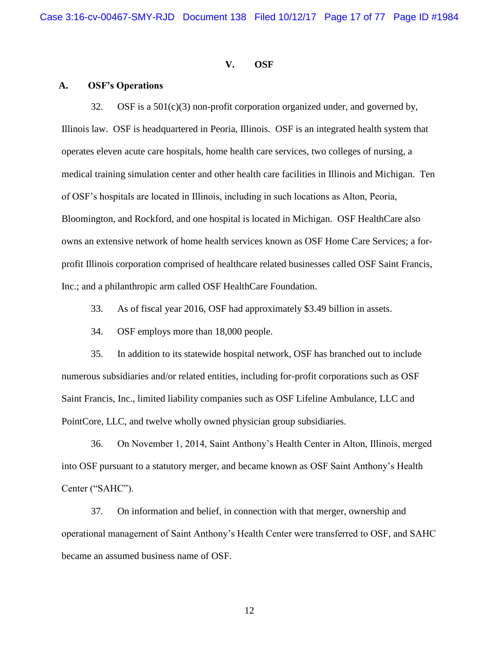#### **V. OSF**

#### <span id="page-16-1"></span><span id="page-16-0"></span>**A. OSF's Operations**

32. OSF is a 501(c)(3) non-profit corporation organized under, and governed by, Illinois law. OSF is headquartered in Peoria, Illinois. OSF is an integrated health system that operates eleven acute care hospitals, home health care services, two colleges of nursing, a medical training simulation center and other health care facilities in Illinois and Michigan. Ten of OSF's hospitals are located in Illinois, including in such locations as Alton, Peoria, Bloomington, and Rockford, and one hospital is located in Michigan. OSF HealthCare also owns an extensive network of home health services known as OSF Home Care Services; a forprofit Illinois corporation comprised of healthcare related businesses called OSF Saint Francis, Inc.; and a philanthropic arm called OSF HealthCare Foundation.

33. As of fiscal year 2016, OSF had approximately \$3.49 billion in assets.

34. OSF employs more than 18,000 people.

35. In addition to its statewide hospital network, OSF has branched out to include numerous subsidiaries and/or related entities, including for-profit corporations such as OSF Saint Francis, Inc., limited liability companies such as OSF Lifeline Ambulance, LLC and PointCore, LLC, and twelve wholly owned physician group subsidiaries.

36. On November 1, 2014, Saint Anthony's Health Center in Alton, Illinois, merged into OSF pursuant to a statutory merger, and became known as OSF Saint Anthony's Health Center ("SAHC").

37. On information and belief, in connection with that merger, ownership and operational management of Saint Anthony's Health Center were transferred to OSF, and SAHC became an assumed business name of OSF.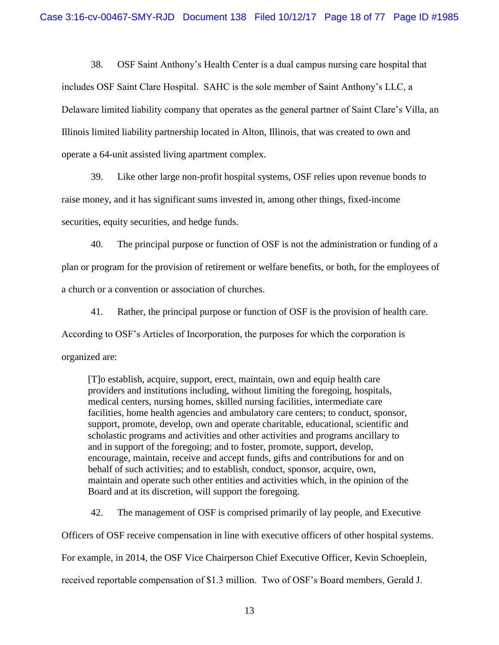38. OSF Saint Anthony's Health Center is a dual campus nursing care hospital that includes OSF Saint Clare Hospital. SAHC is the sole member of Saint Anthony's LLC, a Delaware limited liability company that operates as the general partner of Saint Clare's Villa, an Illinois limited liability partnership located in Alton, Illinois, that was created to own and operate a 64-unit assisted living apartment complex.

39. Like other large non-profit hospital systems, OSF relies upon revenue bonds to raise money, and it has significant sums invested in, among other things, fixed-income securities, equity securities, and hedge funds.

40. The principal purpose or function of OSF is not the administration or funding of a plan or program for the provision of retirement or welfare benefits, or both, for the employees of a church or a convention or association of churches.

41. Rather, the principal purpose or function of OSF is the provision of health care. According to OSF's Articles of Incorporation, the purposes for which the corporation is organized are:

[T]o establish, acquire, support, erect, maintain, own and equip health care providers and institutions including, without limiting the foregoing, hospitals, medical centers, nursing homes, skilled nursing facilities, intermediate care facilities, home health agencies and ambulatory care centers; to conduct, sponsor, support, promote, develop, own and operate charitable, educational, scientific and scholastic programs and activities and other activities and programs ancillary to and in support of the foregoing; and to foster, promote, support, develop, encourage, maintain, receive and accept funds, gifts and contributions for and on behalf of such activities; and to establish, conduct, sponsor, acquire, own, maintain and operate such other entities and activities which, in the opinion of the Board and at its discretion, will support the foregoing.

42. The management of OSF is comprised primarily of lay people, and Executive Officers of OSF receive compensation in line with executive officers of other hospital systems. For example, in 2014, the OSF Vice Chairperson Chief Executive Officer, Kevin Schoeplein, received reportable compensation of \$1.3 million. Two of OSF's Board members, Gerald J.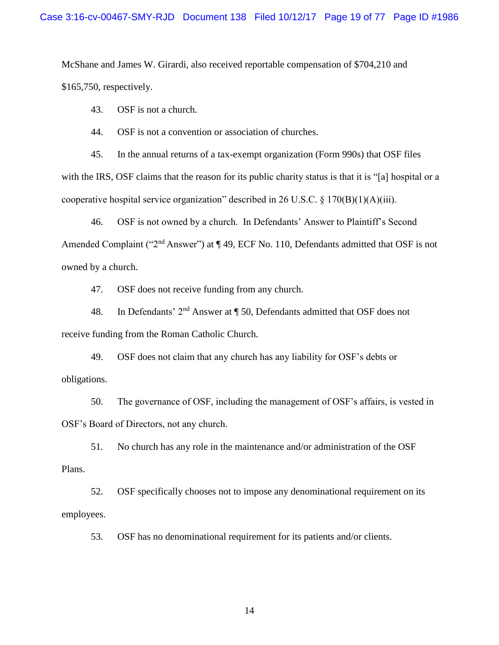McShane and James W. Girardi, also received reportable compensation of \$704,210 and \$165,750, respectively.

43. OSF is not a church.

44. OSF is not a convention or association of churches.

45. In the annual returns of a tax-exempt organization (Form 990s) that OSF files with the IRS, OSF claims that the reason for its public charity status is that it is "[a] hospital or a cooperative hospital service organization" described in 26 U.S.C. § 170(B)(1)(A)(iii).

46. OSF is not owned by a church. In Defendants' Answer to Plaintiff's Second Amended Complaint ("2<sup>nd</sup> Answer") at ¶ 49, ECF No. 110, Defendants admitted that OSF is not owned by a church.

47. OSF does not receive funding from any church.

48. In Defendants' 2nd Answer at ¶ 50, Defendants admitted that OSF does not receive funding from the Roman Catholic Church.

49. OSF does not claim that any church has any liability for OSF's debts or obligations.

50. The governance of OSF, including the management of OSF's affairs, is vested in OSF's Board of Directors, not any church.

51. No church has any role in the maintenance and/or administration of the OSF Plans.

52. OSF specifically chooses not to impose any denominational requirement on its employees.

53. OSF has no denominational requirement for its patients and/or clients.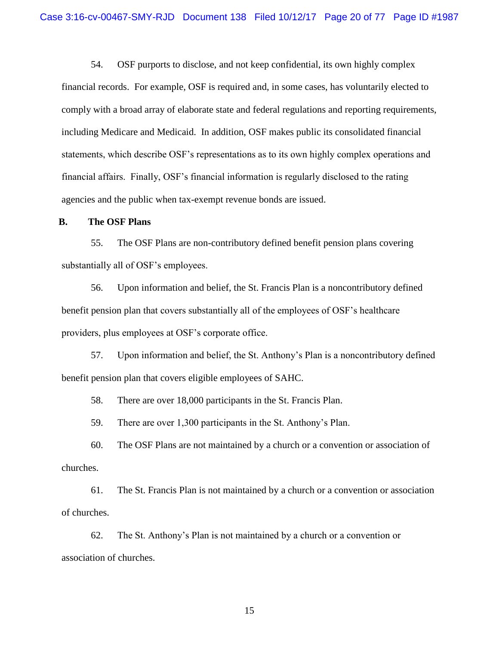54. OSF purports to disclose, and not keep confidential, its own highly complex financial records. For example, OSF is required and, in some cases, has voluntarily elected to comply with a broad array of elaborate state and federal regulations and reporting requirements, including Medicare and Medicaid. In addition, OSF makes public its consolidated financial statements, which describe OSF's representations as to its own highly complex operations and financial affairs. Finally, OSF's financial information is regularly disclosed to the rating agencies and the public when tax-exempt revenue bonds are issued.

#### <span id="page-19-0"></span>**B. The OSF Plans**

55. The OSF Plans are non-contributory defined benefit pension plans covering substantially all of OSF's employees.

56. Upon information and belief, the St. Francis Plan is a noncontributory defined benefit pension plan that covers substantially all of the employees of OSF's healthcare providers, plus employees at OSF's corporate office.

57. Upon information and belief, the St. Anthony's Plan is a noncontributory defined benefit pension plan that covers eligible employees of SAHC.

58. There are over 18,000 participants in the St. Francis Plan.

59. There are over 1,300 participants in the St. Anthony's Plan.

60. The OSF Plans are not maintained by a church or a convention or association of churches.

61. The St. Francis Plan is not maintained by a church or a convention or association of churches.

62. The St. Anthony's Plan is not maintained by a church or a convention or association of churches.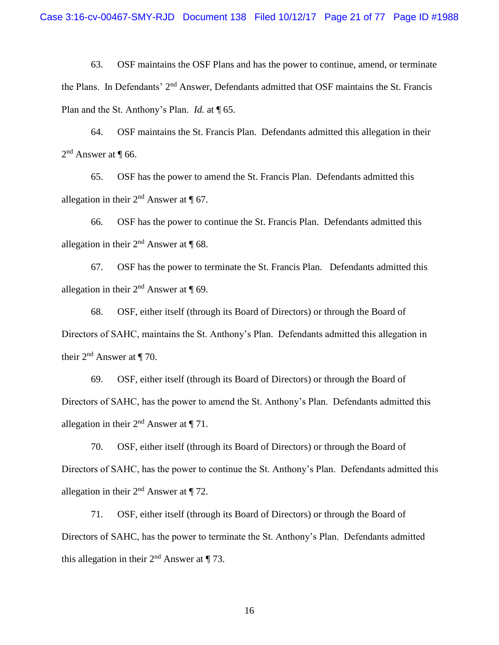63. OSF maintains the OSF Plans and has the power to continue, amend, or terminate the Plans. In Defendants' 2<sup>nd</sup> Answer, Defendants admitted that OSF maintains the St. Francis Plan and the St. Anthony's Plan. *Id.* at ¶ 65.

64. OSF maintains the St. Francis Plan. Defendants admitted this allegation in their  $2<sup>nd</sup>$  Answer at  $\P$  66.

65. OSF has the power to amend the St. Francis Plan. Defendants admitted this allegation in their  $2<sup>nd</sup>$  Answer at  $\P$  67.

66. OSF has the power to continue the St. Francis Plan. Defendants admitted this allegation in their  $2<sup>nd</sup>$  Answer at  $\P$  68.

67. OSF has the power to terminate the St. Francis Plan. Defendants admitted this allegation in their  $2<sup>nd</sup>$  Answer at  $\P$  69.

68. OSF, either itself (through its Board of Directors) or through the Board of Directors of SAHC, maintains the St. Anthony's Plan. Defendants admitted this allegation in their  $2<sup>nd</sup>$  Answer at ¶ 70.

69. OSF, either itself (through its Board of Directors) or through the Board of Directors of SAHC, has the power to amend the St. Anthony's Plan. Defendants admitted this allegation in their  $2<sup>nd</sup>$  Answer at  $\P$  71.

70. OSF, either itself (through its Board of Directors) or through the Board of Directors of SAHC, has the power to continue the St. Anthony's Plan. Defendants admitted this allegation in their  $2<sup>nd</sup>$  Answer at  $\P$  72.

71. OSF, either itself (through its Board of Directors) or through the Board of Directors of SAHC, has the power to terminate the St. Anthony's Plan. Defendants admitted this allegation in their  $2<sup>nd</sup>$  Answer at ¶ 73.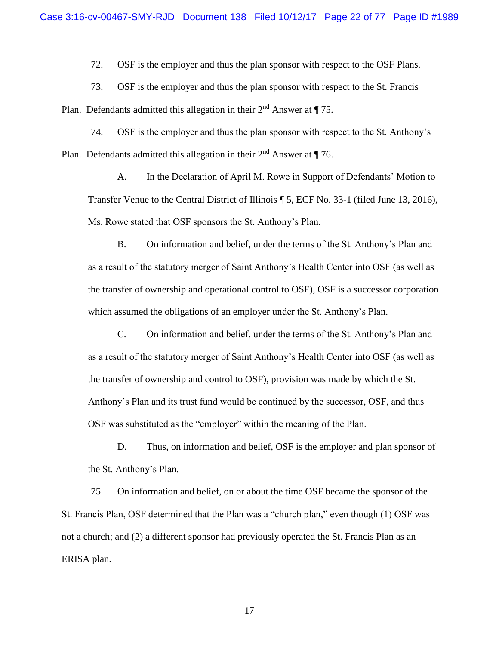72. OSF is the employer and thus the plan sponsor with respect to the OSF Plans.

73. OSF is the employer and thus the plan sponsor with respect to the St. Francis

Plan. Defendants admitted this allegation in their  $2<sup>nd</sup>$  Answer at  $\P$  75.

74. OSF is the employer and thus the plan sponsor with respect to the St. Anthony's Plan. Defendants admitted this allegation in their  $2<sup>nd</sup>$  Answer at  $\P$  76.

A. In the Declaration of April M. Rowe in Support of Defendants' Motion to Transfer Venue to the Central District of Illinois ¶ 5, ECF No. 33-1 (filed June 13, 2016), Ms. Rowe stated that OSF sponsors the St. Anthony's Plan.

B. On information and belief, under the terms of the St. Anthony's Plan and as a result of the statutory merger of Saint Anthony's Health Center into OSF (as well as the transfer of ownership and operational control to OSF), OSF is a successor corporation which assumed the obligations of an employer under the St. Anthony's Plan.

C. On information and belief, under the terms of the St. Anthony's Plan and as a result of the statutory merger of Saint Anthony's Health Center into OSF (as well as the transfer of ownership and control to OSF), provision was made by which the St. Anthony's Plan and its trust fund would be continued by the successor, OSF, and thus OSF was substituted as the "employer" within the meaning of the Plan.

D. Thus, on information and belief, OSF is the employer and plan sponsor of the St. Anthony's Plan.

75. On information and belief, on or about the time OSF became the sponsor of the St. Francis Plan, OSF determined that the Plan was a "church plan," even though (1) OSF was not a church; and (2) a different sponsor had previously operated the St. Francis Plan as an ERISA plan.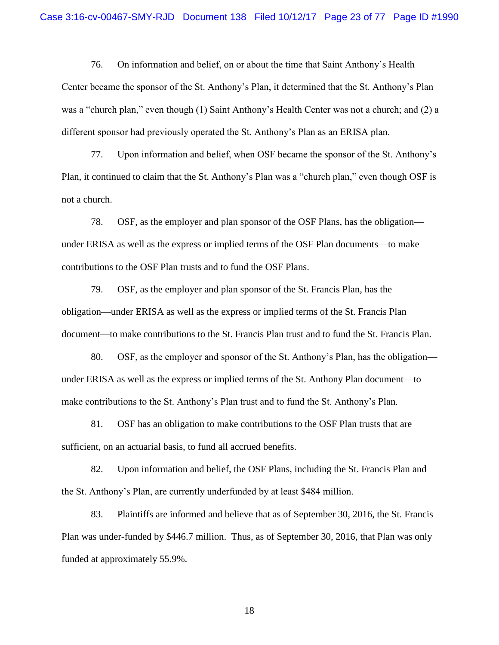76. On information and belief, on or about the time that Saint Anthony's Health Center became the sponsor of the St. Anthony's Plan, it determined that the St. Anthony's Plan was a "church plan," even though (1) Saint Anthony's Health Center was not a church; and (2) a different sponsor had previously operated the St. Anthony's Plan as an ERISA plan.

77. Upon information and belief, when OSF became the sponsor of the St. Anthony's Plan, it continued to claim that the St. Anthony's Plan was a "church plan," even though OSF is not a church.

78. OSF, as the employer and plan sponsor of the OSF Plans, has the obligation under ERISA as well as the express or implied terms of the OSF Plan documents—to make contributions to the OSF Plan trusts and to fund the OSF Plans.

79. OSF, as the employer and plan sponsor of the St. Francis Plan, has the obligation—under ERISA as well as the express or implied terms of the St. Francis Plan document—to make contributions to the St. Francis Plan trust and to fund the St. Francis Plan.

80. OSF, as the employer and sponsor of the St. Anthony's Plan, has the obligation under ERISA as well as the express or implied terms of the St. Anthony Plan document—to make contributions to the St. Anthony's Plan trust and to fund the St. Anthony's Plan.

81. OSF has an obligation to make contributions to the OSF Plan trusts that are sufficient, on an actuarial basis, to fund all accrued benefits.

82. Upon information and belief, the OSF Plans, including the St. Francis Plan and the St. Anthony's Plan, are currently underfunded by at least \$484 million.

83. Plaintiffs are informed and believe that as of September 30, 2016, the St. Francis Plan was under-funded by \$446.7 million. Thus, as of September 30, 2016, that Plan was only funded at approximately 55.9%.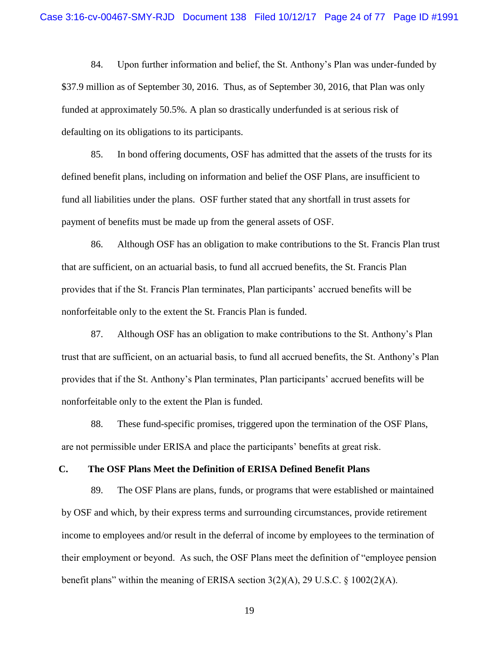84. Upon further information and belief, the St. Anthony's Plan was under-funded by \$37.9 million as of September 30, 2016. Thus, as of September 30, 2016, that Plan was only funded at approximately 50.5%. A plan so drastically underfunded is at serious risk of defaulting on its obligations to its participants.

85. In bond offering documents, OSF has admitted that the assets of the trusts for its defined benefit plans, including on information and belief the OSF Plans, are insufficient to fund all liabilities under the plans. OSF further stated that any shortfall in trust assets for payment of benefits must be made up from the general assets of OSF.

86. Although OSF has an obligation to make contributions to the St. Francis Plan trust that are sufficient, on an actuarial basis, to fund all accrued benefits, the St. Francis Plan provides that if the St. Francis Plan terminates, Plan participants' accrued benefits will be nonforfeitable only to the extent the St. Francis Plan is funded.

87. Although OSF has an obligation to make contributions to the St. Anthony's Plan trust that are sufficient, on an actuarial basis, to fund all accrued benefits, the St. Anthony's Plan provides that if the St. Anthony's Plan terminates, Plan participants' accrued benefits will be nonforfeitable only to the extent the Plan is funded.

88. These fund-specific promises, triggered upon the termination of the OSF Plans, are not permissible under ERISA and place the participants' benefits at great risk.

### <span id="page-23-0"></span>**C. The OSF Plans Meet the Definition of ERISA Defined Benefit Plans**

89. The OSF Plans are plans, funds, or programs that were established or maintained by OSF and which, by their express terms and surrounding circumstances, provide retirement income to employees and/or result in the deferral of income by employees to the termination of their employment or beyond. As such, the OSF Plans meet the definition of "employee pension benefit plans" within the meaning of ERISA section  $3(2)(A)$ , 29 U.S.C. § 1002(2)(A).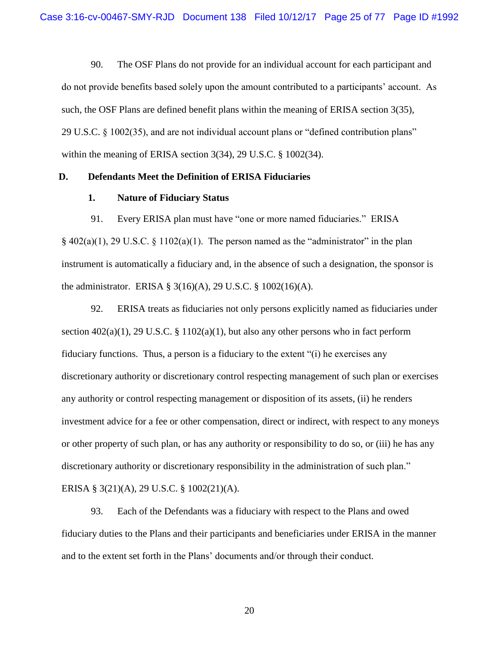90. The OSF Plans do not provide for an individual account for each participant and do not provide benefits based solely upon the amount contributed to a participants' account. As such, the OSF Plans are defined benefit plans within the meaning of ERISA section 3(35), 29 U.S.C. § 1002(35), and are not individual account plans or "defined contribution plans" within the meaning of ERISA section 3(34), 29 U.S.C. § 1002(34).

#### <span id="page-24-1"></span><span id="page-24-0"></span>**D. Defendants Meet the Definition of ERISA Fiduciaries**

### **1. Nature of Fiduciary Status**

91. Every ERISA plan must have "one or more named fiduciaries." ERISA  $§$  402(a)(1), 29 U.S.C. § 1102(a)(1). The person named as the "administrator" in the plan instrument is automatically a fiduciary and, in the absence of such a designation, the sponsor is the administrator. ERISA § 3(16)(A), 29 U.S.C. § 1002(16)(A).

92. ERISA treats as fiduciaries not only persons explicitly named as fiduciaries under section  $402(a)(1)$ , 29 U.S.C. § 1102(a)(1), but also any other persons who in fact perform fiduciary functions. Thus, a person is a fiduciary to the extent "(i) he exercises any discretionary authority or discretionary control respecting management of such plan or exercises any authority or control respecting management or disposition of its assets, (ii) he renders investment advice for a fee or other compensation, direct or indirect, with respect to any moneys or other property of such plan, or has any authority or responsibility to do so, or (iii) he has any discretionary authority or discretionary responsibility in the administration of such plan." ERISA § 3(21)(A), 29 U.S.C. § 1002(21)(A).

93. Each of the Defendants was a fiduciary with respect to the Plans and owed fiduciary duties to the Plans and their participants and beneficiaries under ERISA in the manner and to the extent set forth in the Plans' documents and/or through their conduct.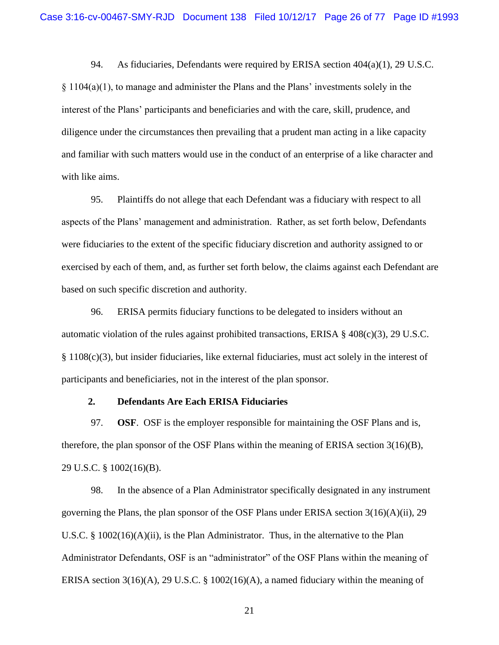94. As fiduciaries, Defendants were required by ERISA section 404(a)(1), 29 U.S.C.

 $\S 1104(a)(1)$ , to manage and administer the Plans and the Plans' investments solely in the interest of the Plans' participants and beneficiaries and with the care, skill, prudence, and diligence under the circumstances then prevailing that a prudent man acting in a like capacity and familiar with such matters would use in the conduct of an enterprise of a like character and with like aims.

95. Plaintiffs do not allege that each Defendant was a fiduciary with respect to all aspects of the Plans' management and administration. Rather, as set forth below, Defendants were fiduciaries to the extent of the specific fiduciary discretion and authority assigned to or exercised by each of them, and, as further set forth below, the claims against each Defendant are based on such specific discretion and authority.

96. ERISA permits fiduciary functions to be delegated to insiders without an automatic violation of the rules against prohibited transactions, ERISA  $\S$  408(c)(3), 29 U.S.C. § 1108(c)(3), but insider fiduciaries, like external fiduciaries, must act solely in the interest of participants and beneficiaries, not in the interest of the plan sponsor.

### **2. Defendants Are Each ERISA Fiduciaries**

<span id="page-25-0"></span>97. **OSF**. OSF is the employer responsible for maintaining the OSF Plans and is, therefore, the plan sponsor of the OSF Plans within the meaning of ERISA section 3(16)(B), 29 U.S.C. § 1002(16)(B).

98. In the absence of a Plan Administrator specifically designated in any instrument governing the Plans, the plan sponsor of the OSF Plans under ERISA section  $3(16)(A)(ii)$ , 29 U.S.C. §  $1002(16)(A)(ii)$ , is the Plan Administrator. Thus, in the alternative to the Plan Administrator Defendants, OSF is an "administrator" of the OSF Plans within the meaning of ERISA section  $3(16)(A)$ , 29 U.S.C. § 1002(16)(A), a named fiduciary within the meaning of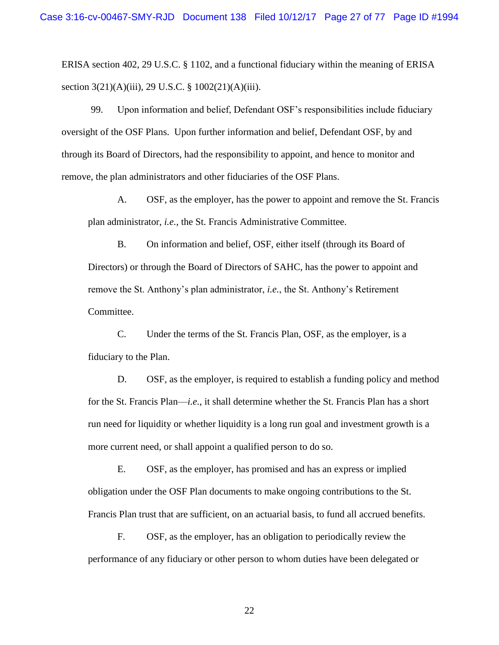ERISA section 402, 29 U.S.C. § 1102, and a functional fiduciary within the meaning of ERISA section 3(21)(A)(iii), 29 U.S.C. § 1002(21)(A)(iii).

99. Upon information and belief, Defendant OSF's responsibilities include fiduciary oversight of the OSF Plans. Upon further information and belief, Defendant OSF, by and through its Board of Directors, had the responsibility to appoint, and hence to monitor and remove, the plan administrators and other fiduciaries of the OSF Plans.

A. OSF, as the employer, has the power to appoint and remove the St. Francis plan administrator, *i.e.*, the St. Francis Administrative Committee.

B. On information and belief, OSF, either itself (through its Board of Directors) or through the Board of Directors of SAHC, has the power to appoint and remove the St. Anthony's plan administrator, *i.e.*, the St. Anthony's Retirement Committee.

C. Under the terms of the St. Francis Plan, OSF, as the employer, is a fiduciary to the Plan.

D. OSF, as the employer, is required to establish a funding policy and method for the St. Francis Plan—*i.e.*, it shall determine whether the St. Francis Plan has a short run need for liquidity or whether liquidity is a long run goal and investment growth is a more current need, or shall appoint a qualified person to do so.

E. OSF, as the employer, has promised and has an express or implied obligation under the OSF Plan documents to make ongoing contributions to the St. Francis Plan trust that are sufficient, on an actuarial basis, to fund all accrued benefits.

F. OSF, as the employer, has an obligation to periodically review the performance of any fiduciary or other person to whom duties have been delegated or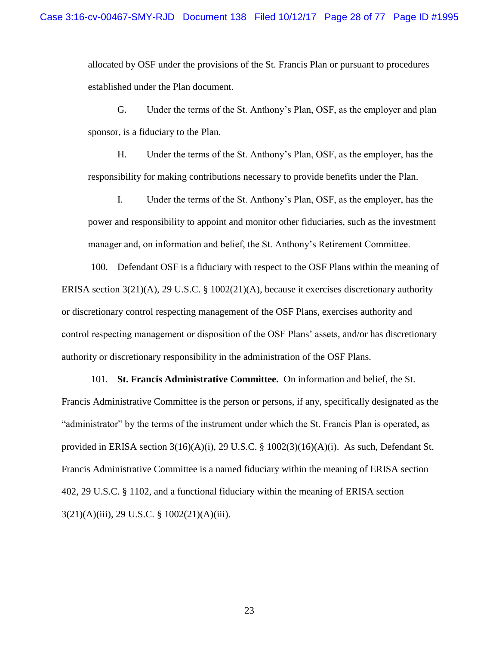allocated by OSF under the provisions of the St. Francis Plan or pursuant to procedures established under the Plan document.

G. Under the terms of the St. Anthony's Plan, OSF, as the employer and plan sponsor, is a fiduciary to the Plan.

H. Under the terms of the St. Anthony's Plan, OSF, as the employer, has the responsibility for making contributions necessary to provide benefits under the Plan.

I. Under the terms of the St. Anthony's Plan, OSF, as the employer, has the power and responsibility to appoint and monitor other fiduciaries, such as the investment manager and, on information and belief, the St. Anthony's Retirement Committee.

100. Defendant OSF is a fiduciary with respect to the OSF Plans within the meaning of ERISA section 3(21)(A), 29 U.S.C. § 1002(21)(A), because it exercises discretionary authority or discretionary control respecting management of the OSF Plans, exercises authority and control respecting management or disposition of the OSF Plans' assets, and/or has discretionary authority or discretionary responsibility in the administration of the OSF Plans.

101. **St. Francis Administrative Committee.** On information and belief, the St. Francis Administrative Committee is the person or persons, if any, specifically designated as the "administrator" by the terms of the instrument under which the St. Francis Plan is operated, as provided in ERISA section 3(16)(A)(i), 29 U.S.C. § 1002(3)(16)(A)(i). As such, Defendant St. Francis Administrative Committee is a named fiduciary within the meaning of ERISA section 402, 29 U.S.C. § 1102, and a functional fiduciary within the meaning of ERISA section 3(21)(A)(iii), 29 U.S.C. § 1002(21)(A)(iii).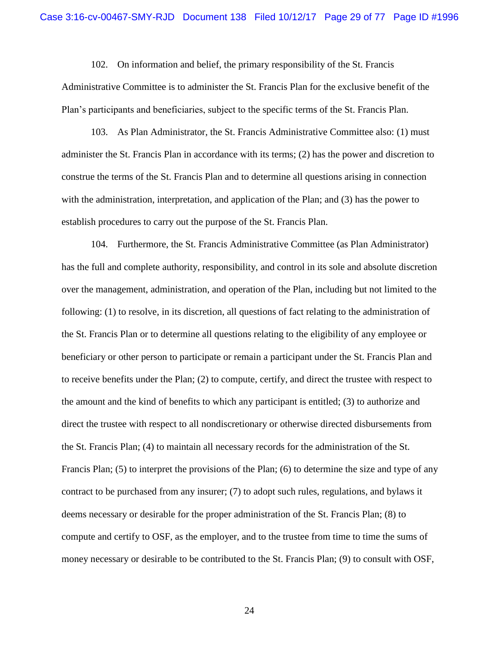102. On information and belief, the primary responsibility of the St. Francis

Administrative Committee is to administer the St. Francis Plan for the exclusive benefit of the Plan's participants and beneficiaries, subject to the specific terms of the St. Francis Plan.

103. As Plan Administrator, the St. Francis Administrative Committee also: (1) must administer the St. Francis Plan in accordance with its terms; (2) has the power and discretion to construe the terms of the St. Francis Plan and to determine all questions arising in connection with the administration, interpretation, and application of the Plan; and (3) has the power to establish procedures to carry out the purpose of the St. Francis Plan.

104. Furthermore, the St. Francis Administrative Committee (as Plan Administrator) has the full and complete authority, responsibility, and control in its sole and absolute discretion over the management, administration, and operation of the Plan, including but not limited to the following: (1) to resolve, in its discretion, all questions of fact relating to the administration of the St. Francis Plan or to determine all questions relating to the eligibility of any employee or beneficiary or other person to participate or remain a participant under the St. Francis Plan and to receive benefits under the Plan; (2) to compute, certify, and direct the trustee with respect to the amount and the kind of benefits to which any participant is entitled; (3) to authorize and direct the trustee with respect to all nondiscretionary or otherwise directed disbursements from the St. Francis Plan; (4) to maintain all necessary records for the administration of the St. Francis Plan; (5) to interpret the provisions of the Plan; (6) to determine the size and type of any contract to be purchased from any insurer; (7) to adopt such rules, regulations, and bylaws it deems necessary or desirable for the proper administration of the St. Francis Plan; (8) to compute and certify to OSF, as the employer, and to the trustee from time to time the sums of money necessary or desirable to be contributed to the St. Francis Plan; (9) to consult with OSF,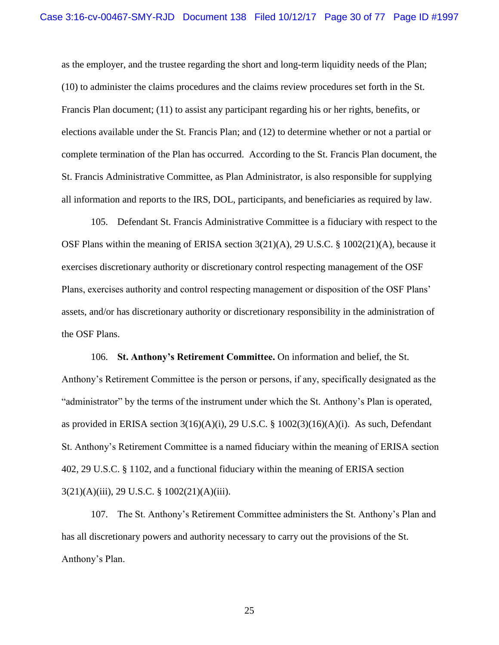as the employer, and the trustee regarding the short and long-term liquidity needs of the Plan; (10) to administer the claims procedures and the claims review procedures set forth in the St. Francis Plan document; (11) to assist any participant regarding his or her rights, benefits, or elections available under the St. Francis Plan; and (12) to determine whether or not a partial or complete termination of the Plan has occurred. According to the St. Francis Plan document, the St. Francis Administrative Committee, as Plan Administrator, is also responsible for supplying all information and reports to the IRS, DOL, participants, and beneficiaries as required by law.

105. Defendant St. Francis Administrative Committee is a fiduciary with respect to the OSF Plans within the meaning of ERISA section 3(21)(A), 29 U.S.C. § 1002(21)(A), because it exercises discretionary authority or discretionary control respecting management of the OSF Plans, exercises authority and control respecting management or disposition of the OSF Plans' assets, and/or has discretionary authority or discretionary responsibility in the administration of the OSF Plans.

106. **St. Anthony's Retirement Committee.** On information and belief, the St. Anthony's Retirement Committee is the person or persons, if any, specifically designated as the "administrator" by the terms of the instrument under which the St. Anthony's Plan is operated, as provided in ERISA section 3(16)(A)(i), 29 U.S.C. § 1002(3)(16)(A)(i). As such, Defendant St. Anthony's Retirement Committee is a named fiduciary within the meaning of ERISA section 402, 29 U.S.C. § 1102, and a functional fiduciary within the meaning of ERISA section 3(21)(A)(iii), 29 U.S.C. § 1002(21)(A)(iii).

107. The St. Anthony's Retirement Committee administers the St. Anthony's Plan and has all discretionary powers and authority necessary to carry out the provisions of the St. Anthony's Plan.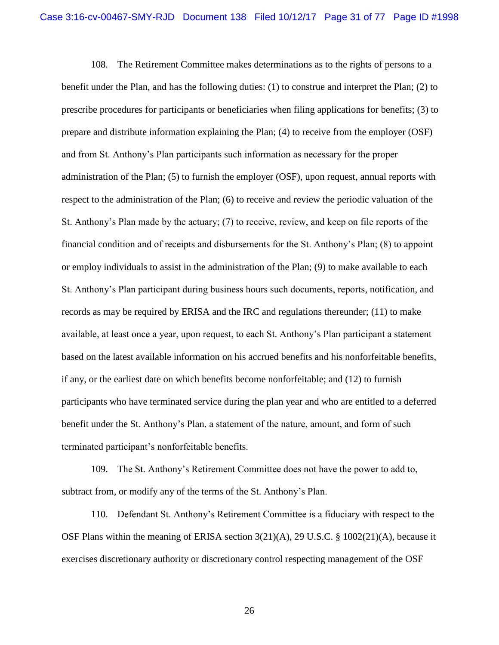108. The Retirement Committee makes determinations as to the rights of persons to a benefit under the Plan, and has the following duties: (1) to construe and interpret the Plan; (2) to prescribe procedures for participants or beneficiaries when filing applications for benefits; (3) to prepare and distribute information explaining the Plan; (4) to receive from the employer (OSF) and from St. Anthony's Plan participants such information as necessary for the proper administration of the Plan; (5) to furnish the employer (OSF), upon request, annual reports with respect to the administration of the Plan; (6) to receive and review the periodic valuation of the St. Anthony's Plan made by the actuary; (7) to receive, review, and keep on file reports of the financial condition and of receipts and disbursements for the St. Anthony's Plan; (8) to appoint or employ individuals to assist in the administration of the Plan; (9) to make available to each St. Anthony's Plan participant during business hours such documents, reports, notification, and records as may be required by ERISA and the IRC and regulations thereunder; (11) to make available, at least once a year, upon request, to each St. Anthony's Plan participant a statement based on the latest available information on his accrued benefits and his nonforfeitable benefits, if any, or the earliest date on which benefits become nonforfeitable; and (12) to furnish participants who have terminated service during the plan year and who are entitled to a deferred benefit under the St. Anthony's Plan, a statement of the nature, amount, and form of such terminated participant's nonforfeitable benefits.

109. The St. Anthony's Retirement Committee does not have the power to add to, subtract from, or modify any of the terms of the St. Anthony's Plan.

110. Defendant St. Anthony's Retirement Committee is a fiduciary with respect to the OSF Plans within the meaning of ERISA section 3(21)(A), 29 U.S.C. § 1002(21)(A), because it exercises discretionary authority or discretionary control respecting management of the OSF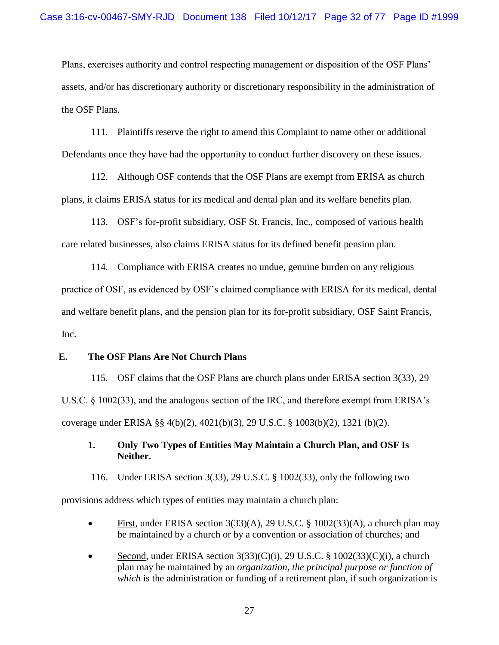Plans, exercises authority and control respecting management or disposition of the OSF Plans' assets, and/or has discretionary authority or discretionary responsibility in the administration of the OSF Plans.

111. Plaintiffs reserve the right to amend this Complaint to name other or additional Defendants once they have had the opportunity to conduct further discovery on these issues.

112. Although OSF contends that the OSF Plans are exempt from ERISA as church plans, it claims ERISA status for its medical and dental plan and its welfare benefits plan.

113. OSF's for-profit subsidiary, OSF St. Francis, Inc., composed of various health care related businesses, also claims ERISA status for its defined benefit pension plan.

114. Compliance with ERISA creates no undue, genuine burden on any religious practice of OSF, as evidenced by OSF's claimed compliance with ERISA for its medical, dental and welfare benefit plans, and the pension plan for its for-profit subsidiary, OSF Saint Francis, Inc.

### <span id="page-31-0"></span>**E. The OSF Plans Are Not Church Plans**

115. OSF claims that the OSF Plans are church plans under ERISA section 3(33), 29 U.S.C. § 1002(33), and the analogous section of the IRC, and therefore exempt from ERISA's coverage under ERISA §§ 4(b)(2), 4021(b)(3), 29 U.S.C. § 1003(b)(2), 1321 (b)(2).

## <span id="page-31-1"></span>**1. Only Two Types of Entities May Maintain a Church Plan, and OSF Is Neither.**

116. Under ERISA section 3(33), 29 U.S.C. § 1002(33), only the following two

provisions address which types of entities may maintain a church plan:

- First, under ERISA section 3(33)(A), 29 U.S.C. § 1002(33)(A), a church plan may be maintained by a church or by a convention or association of churches; and
- Second, under ERISA section  $3(33)(C)(i)$ , 29 U.S.C. § 1002(33)(C)(i), a church plan may be maintained by an *organization*, *the principal purpose or function of which* is the administration or funding of a retirement plan, if such organization is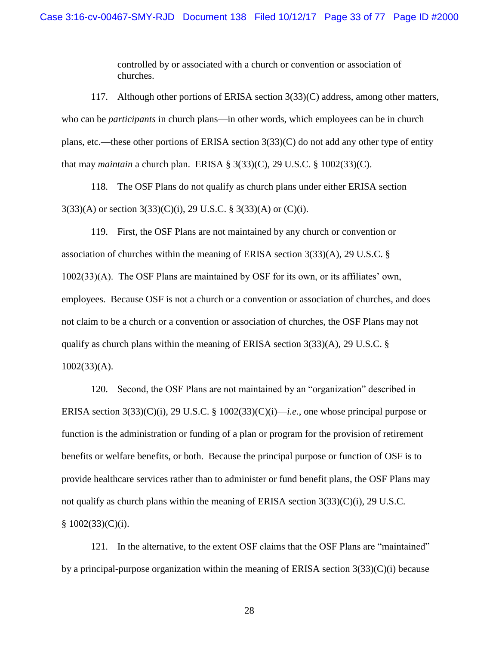controlled by or associated with a church or convention or association of churches.

117. Although other portions of ERISA section 3(33)(C) address, among other matters, who can be *participants* in church plans—in other words, which employees can be in church plans, etc.—these other portions of ERISA section 3(33)(C) do not add any other type of entity that may *maintain* a church plan. ERISA § 3(33)(C), 29 U.S.C. § 1002(33)(C).

118. The OSF Plans do not qualify as church plans under either ERISA section  $3(33)(A)$  or section  $3(33)(C)(i)$ , 29 U.S.C. §  $3(33)(A)$  or  $(C)(i)$ .

119. First, the OSF Plans are not maintained by any church or convention or association of churches within the meaning of ERISA section 3(33)(A), 29 U.S.C. § 1002(33)(A). The OSF Plans are maintained by OSF for its own, or its affiliates' own, employees. Because OSF is not a church or a convention or association of churches, and does not claim to be a church or a convention or association of churches, the OSF Plans may not qualify as church plans within the meaning of ERISA section 3(33)(A), 29 U.S.C. § 1002(33)(A).

120. Second, the OSF Plans are not maintained by an "organization" described in ERISA section 3(33)(C)(i), 29 U.S.C. § 1002(33)(C)(i)—*i.e.*, one whose principal purpose or function is the administration or funding of a plan or program for the provision of retirement benefits or welfare benefits, or both. Because the principal purpose or function of OSF is to provide healthcare services rather than to administer or fund benefit plans, the OSF Plans may not qualify as church plans within the meaning of ERISA section 3(33)(C)(i), 29 U.S.C.  $§ 1002(33)(C)(i).$ 

121. In the alternative, to the extent OSF claims that the OSF Plans are "maintained" by a principal-purpose organization within the meaning of ERISA section  $3(33)(C)(i)$  because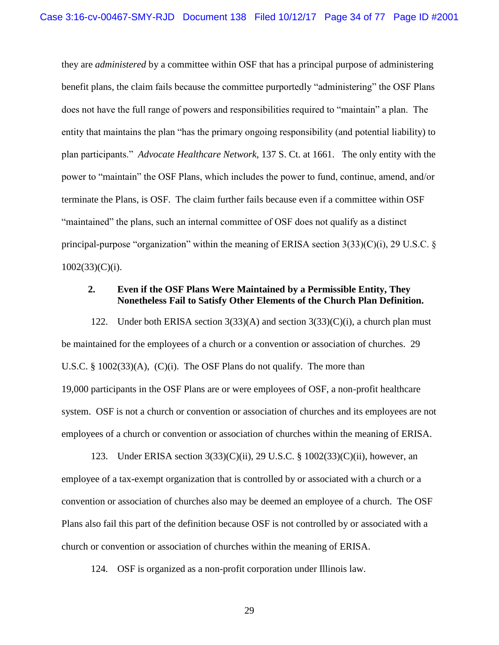they are *administered* by a committee within OSF that has a principal purpose of administering benefit plans, the claim fails because the committee purportedly "administering" the OSF Plans does not have the full range of powers and responsibilities required to "maintain" a plan. The entity that maintains the plan "has the primary ongoing responsibility (and potential liability) to plan participants." *Advocate Healthcare Network*, 137 S. Ct. at 1661. The only entity with the power to "maintain" the OSF Plans, which includes the power to fund, continue, amend, and/or terminate the Plans, is OSF. The claim further fails because even if a committee within OSF "maintained" the plans, such an internal committee of OSF does not qualify as a distinct principal-purpose "organization" within the meaning of ERISA section  $3(33)(C)(i)$ , 29 U.S.C. §  $1002(33)(C)(i)$ .

### <span id="page-33-0"></span>**2. Even if the OSF Plans Were Maintained by a Permissible Entity, They Nonetheless Fail to Satisfy Other Elements of the Church Plan Definition.**

122. Under both ERISA section  $3(33)(A)$  and section  $3(33)(C)(i)$ , a church plan must be maintained for the employees of a church or a convention or association of churches. 29 U.S.C. § 1002(33)(A), (C)(i). The OSF Plans do not qualify. The more than 19,000 participants in the OSF Plans are or were employees of OSF, a non-profit healthcare system. OSF is not a church or convention or association of churches and its employees are not employees of a church or convention or association of churches within the meaning of ERISA.

123. Under ERISA section 3(33)(C)(ii), 29 U.S.C. § 1002(33)(C)(ii), however, an employee of a tax-exempt organization that is controlled by or associated with a church or a convention or association of churches also may be deemed an employee of a church. The OSF Plans also fail this part of the definition because OSF is not controlled by or associated with a church or convention or association of churches within the meaning of ERISA.

124. OSF is organized as a non-profit corporation under Illinois law.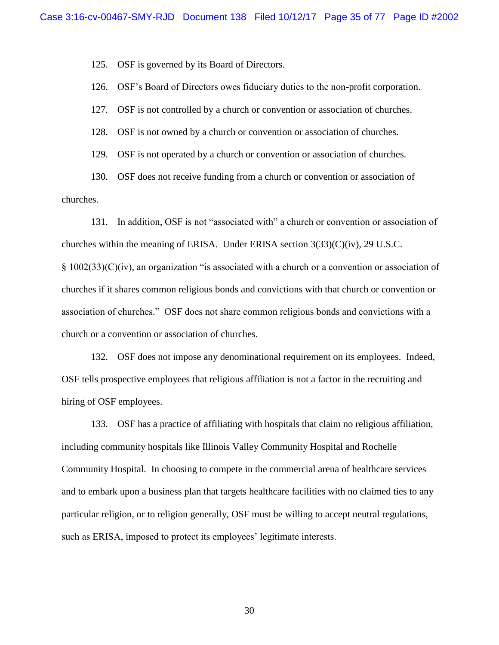125. OSF is governed by its Board of Directors.

126. OSF's Board of Directors owes fiduciary duties to the non-profit corporation.

127. OSF is not controlled by a church or convention or association of churches.

128. OSF is not owned by a church or convention or association of churches.

129. OSF is not operated by a church or convention or association of churches.

130. OSF does not receive funding from a church or convention or association of churches.

131. In addition, OSF is not "associated with" a church or convention or association of churches within the meaning of ERISA. Under ERISA section  $3(33)(C)(iv)$ , 29 U.S.C.  $§ 1002(33)(C)(iv)$ , an organization "is associated with a church or a convention or association of churches if it shares common religious bonds and convictions with that church or convention or association of churches." OSF does not share common religious bonds and convictions with a church or a convention or association of churches.

132. OSF does not impose any denominational requirement on its employees. Indeed, OSF tells prospective employees that religious affiliation is not a factor in the recruiting and hiring of OSF employees.

133. OSF has a practice of affiliating with hospitals that claim no religious affiliation, including community hospitals like Illinois Valley Community Hospital and Rochelle Community Hospital. In choosing to compete in the commercial arena of healthcare services and to embark upon a business plan that targets healthcare facilities with no claimed ties to any particular religion, or to religion generally, OSF must be willing to accept neutral regulations, such as ERISA, imposed to protect its employees' legitimate interests.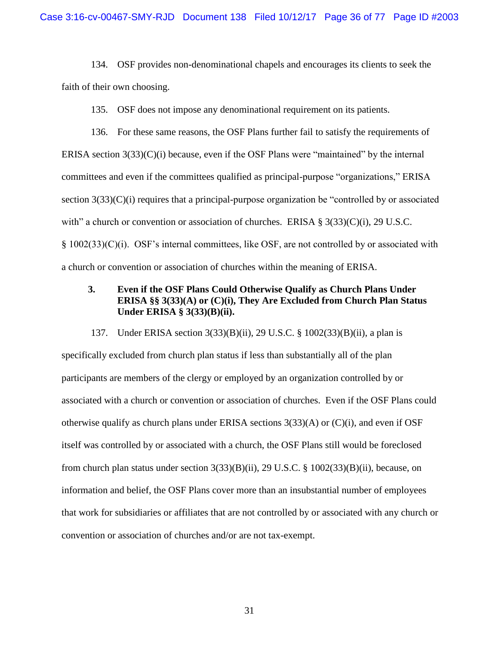134. OSF provides non-denominational chapels and encourages its clients to seek the faith of their own choosing.

135. OSF does not impose any denominational requirement on its patients.

136. For these same reasons, the OSF Plans further fail to satisfy the requirements of ERISA section  $3(33)(C)(i)$  because, even if the OSF Plans were "maintained" by the internal committees and even if the committees qualified as principal-purpose "organizations," ERISA section 3(33)(C)(i) requires that a principal-purpose organization be "controlled by or associated with" a church or convention or association of churches. ERISA  $\S 3(33)(C)(i)$ , 29 U.S.C. § 1002(33)(C)(i). OSF's internal committees, like OSF, are not controlled by or associated with a church or convention or association of churches within the meaning of ERISA.

### <span id="page-35-0"></span>**3. Even if the OSF Plans Could Otherwise Qualify as Church Plans Under ERISA §§ 3(33)(A) or (C)(i), They Are Excluded from Church Plan Status Under ERISA § 3(33)(B)(ii).**

137. Under ERISA section 3(33)(B)(ii), 29 U.S.C. § 1002(33)(B)(ii), a plan is specifically excluded from church plan status if less than substantially all of the plan participants are members of the clergy or employed by an organization controlled by or associated with a church or convention or association of churches. Even if the OSF Plans could otherwise qualify as church plans under ERISA sections 3(33)(A) or (C)(i), and even if OSF itself was controlled by or associated with a church, the OSF Plans still would be foreclosed from church plan status under section  $3(33)(B)(ii)$ ,  $29 \text{ U.S.C. }$  §  $1002(33)(B)(ii)$ , because, on information and belief, the OSF Plans cover more than an insubstantial number of employees that work for subsidiaries or affiliates that are not controlled by or associated with any church or convention or association of churches and/or are not tax-exempt.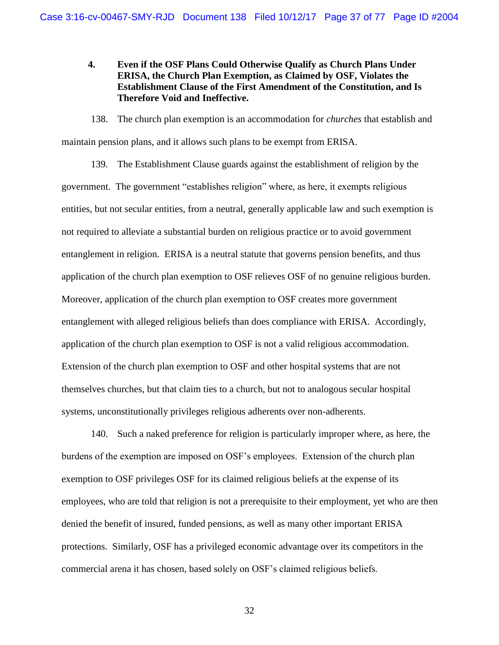**4. Even if the OSF Plans Could Otherwise Qualify as Church Plans Under ERISA, the Church Plan Exemption, as Claimed by OSF, Violates the Establishment Clause of the First Amendment of the Constitution, and Is Therefore Void and Ineffective.** 

138. The church plan exemption is an accommodation for *churches* that establish and maintain pension plans, and it allows such plans to be exempt from ERISA.

139. The Establishment Clause guards against the establishment of religion by the government. The government "establishes religion" where, as here, it exempts religious entities, but not secular entities, from a neutral, generally applicable law and such exemption is not required to alleviate a substantial burden on religious practice or to avoid government entanglement in religion. ERISA is a neutral statute that governs pension benefits, and thus application of the church plan exemption to OSF relieves OSF of no genuine religious burden. Moreover, application of the church plan exemption to OSF creates more government entanglement with alleged religious beliefs than does compliance with ERISA. Accordingly, application of the church plan exemption to OSF is not a valid religious accommodation. Extension of the church plan exemption to OSF and other hospital systems that are not themselves churches, but that claim ties to a church, but not to analogous secular hospital systems, unconstitutionally privileges religious adherents over non-adherents.

140. Such a naked preference for religion is particularly improper where, as here, the burdens of the exemption are imposed on OSF's employees. Extension of the church plan exemption to OSF privileges OSF for its claimed religious beliefs at the expense of its employees, who are told that religion is not a prerequisite to their employment, yet who are then denied the benefit of insured, funded pensions, as well as many other important ERISA protections. Similarly, OSF has a privileged economic advantage over its competitors in the commercial arena it has chosen, based solely on OSF's claimed religious beliefs.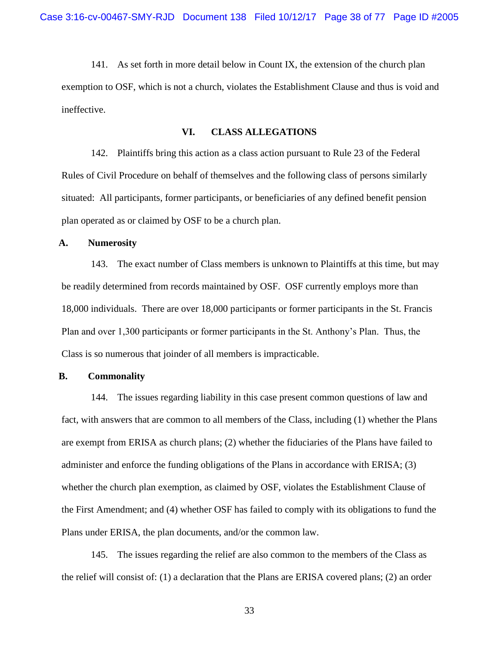141. As set forth in more detail below in Count IX, the extension of the church plan exemption to OSF, which is not a church, violates the Establishment Clause and thus is void and ineffective.

## **VI. CLASS ALLEGATIONS**

142. Plaintiffs bring this action as a class action pursuant to Rule 23 of the Federal Rules of Civil Procedure on behalf of themselves and the following class of persons similarly situated: All participants, former participants, or beneficiaries of any defined benefit pension plan operated as or claimed by OSF to be a church plan.

## **A. Numerosity**

143. The exact number of Class members is unknown to Plaintiffs at this time, but may be readily determined from records maintained by OSF. OSF currently employs more than 18,000 individuals. There are over 18,000 participants or former participants in the St. Francis Plan and over 1,300 participants or former participants in the St. Anthony's Plan. Thus, the Class is so numerous that joinder of all members is impracticable.

# **B. Commonality**

144. The issues regarding liability in this case present common questions of law and fact, with answers that are common to all members of the Class, including (1) whether the Plans are exempt from ERISA as church plans; (2) whether the fiduciaries of the Plans have failed to administer and enforce the funding obligations of the Plans in accordance with ERISA; (3) whether the church plan exemption, as claimed by OSF, violates the Establishment Clause of the First Amendment; and (4) whether OSF has failed to comply with its obligations to fund the Plans under ERISA, the plan documents, and/or the common law.

145. The issues regarding the relief are also common to the members of the Class as the relief will consist of: (1) a declaration that the Plans are ERISA covered plans; (2) an order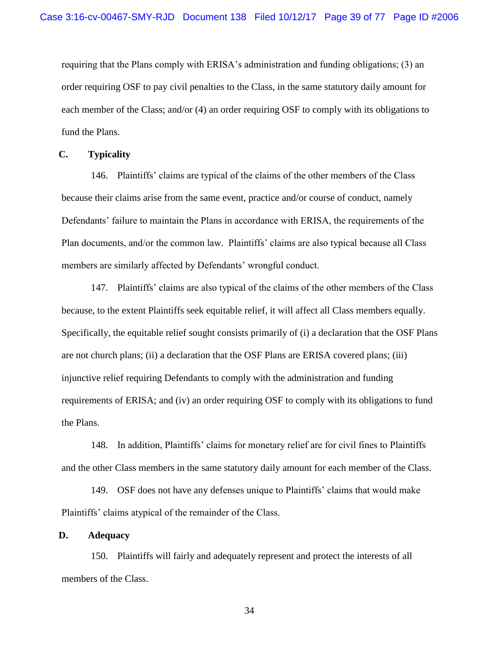requiring that the Plans comply with ERISA's administration and funding obligations; (3) an order requiring OSF to pay civil penalties to the Class, in the same statutory daily amount for each member of the Class; and/or (4) an order requiring OSF to comply with its obligations to fund the Plans.

# **C. Typicality**

146. Plaintiffs' claims are typical of the claims of the other members of the Class because their claims arise from the same event, practice and/or course of conduct, namely Defendants' failure to maintain the Plans in accordance with ERISA, the requirements of the Plan documents, and/or the common law. Plaintiffs' claims are also typical because all Class members are similarly affected by Defendants' wrongful conduct.

147. Plaintiffs' claims are also typical of the claims of the other members of the Class because, to the extent Plaintiffs seek equitable relief, it will affect all Class members equally. Specifically, the equitable relief sought consists primarily of (i) a declaration that the OSF Plans are not church plans; (ii) a declaration that the OSF Plans are ERISA covered plans; (iii) injunctive relief requiring Defendants to comply with the administration and funding requirements of ERISA; and (iv) an order requiring OSF to comply with its obligations to fund the Plans.

148. In addition, Plaintiffs' claims for monetary relief are for civil fines to Plaintiffs and the other Class members in the same statutory daily amount for each member of the Class.

149. OSF does not have any defenses unique to Plaintiffs' claims that would make Plaintiffs' claims atypical of the remainder of the Class.

## **D. Adequacy**

150. Plaintiffs will fairly and adequately represent and protect the interests of all members of the Class.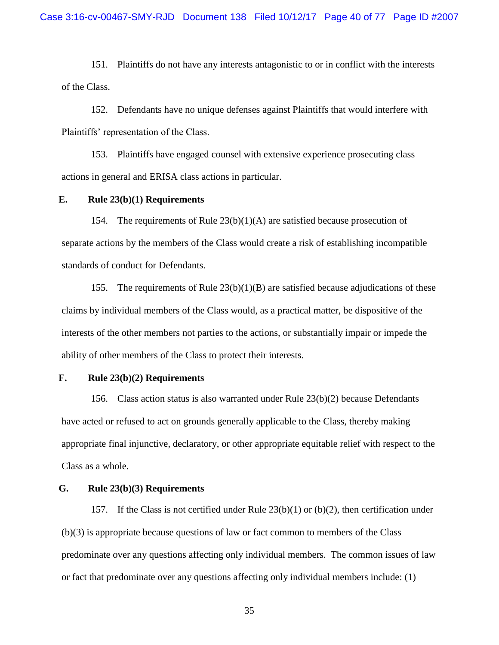151. Plaintiffs do not have any interests antagonistic to or in conflict with the interests of the Class.

152. Defendants have no unique defenses against Plaintiffs that would interfere with Plaintiffs' representation of the Class.

153. Plaintiffs have engaged counsel with extensive experience prosecuting class actions in general and ERISA class actions in particular.

### **E. Rule 23(b)(1) Requirements**

154. The requirements of Rule  $23(b)(1)(A)$  are satisfied because prosecution of separate actions by the members of the Class would create a risk of establishing incompatible standards of conduct for Defendants.

155. The requirements of Rule  $23(b)(1)(B)$  are satisfied because adjudications of these claims by individual members of the Class would, as a practical matter, be dispositive of the interests of the other members not parties to the actions, or substantially impair or impede the ability of other members of the Class to protect their interests.

# **F. Rule 23(b)(2) Requirements**

156. Class action status is also warranted under Rule 23(b)(2) because Defendants have acted or refused to act on grounds generally applicable to the Class, thereby making appropriate final injunctive, declaratory, or other appropriate equitable relief with respect to the Class as a whole.

# **G. Rule 23(b)(3) Requirements**

157. If the Class is not certified under Rule 23(b)(1) or (b)(2), then certification under (b)(3) is appropriate because questions of law or fact common to members of the Class predominate over any questions affecting only individual members. The common issues of law or fact that predominate over any questions affecting only individual members include: (1)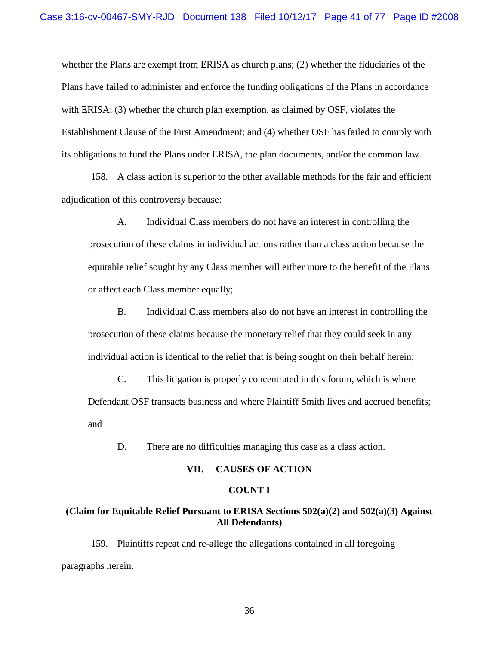whether the Plans are exempt from ERISA as church plans; (2) whether the fiduciaries of the Plans have failed to administer and enforce the funding obligations of the Plans in accordance with ERISA; (3) whether the church plan exemption, as claimed by OSF, violates the Establishment Clause of the First Amendment; and (4) whether OSF has failed to comply with its obligations to fund the Plans under ERISA, the plan documents, and/or the common law.

158. A class action is superior to the other available methods for the fair and efficient adjudication of this controversy because:

A. Individual Class members do not have an interest in controlling the prosecution of these claims in individual actions rather than a class action because the equitable relief sought by any Class member will either inure to the benefit of the Plans or affect each Class member equally;

B. Individual Class members also do not have an interest in controlling the prosecution of these claims because the monetary relief that they could seek in any individual action is identical to the relief that is being sought on their behalf herein;

C. This litigation is properly concentrated in this forum, which is where Defendant OSF transacts business and where Plaintiff Smith lives and accrued benefits; and

D. There are no difficulties managing this case as a class action.

#### **VII. CAUSES OF ACTION**

### **COUNT I**

# **(Claim for Equitable Relief Pursuant to ERISA Sections 502(a)(2) and 502(a)(3) Against All Defendants)**

159. Plaintiffs repeat and re-allege the allegations contained in all foregoing paragraphs herein.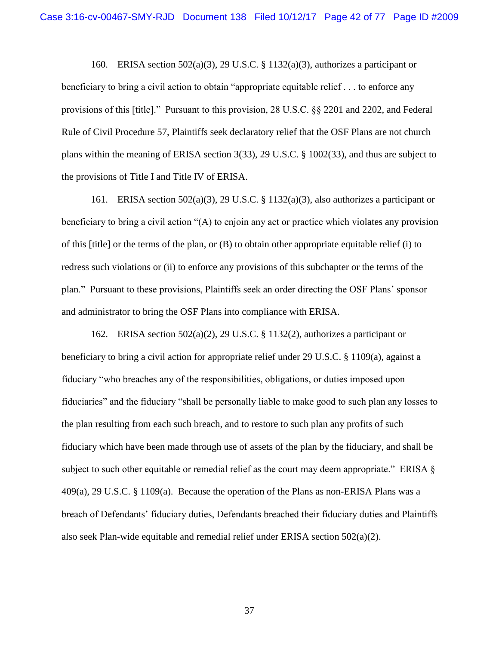160. ERISA section 502(a)(3), 29 U.S.C. § 1132(a)(3), authorizes a participant or beneficiary to bring a civil action to obtain "appropriate equitable relief . . . to enforce any provisions of this [title]." Pursuant to this provision, 28 U.S.C. §§ 2201 and 2202, and Federal Rule of Civil Procedure 57, Plaintiffs seek declaratory relief that the OSF Plans are not church plans within the meaning of ERISA section 3(33), 29 U.S.C. § 1002(33), and thus are subject to the provisions of Title I and Title IV of ERISA.

161. ERISA section 502(a)(3), 29 U.S.C. § 1132(a)(3), also authorizes a participant or beneficiary to bring a civil action "(A) to enjoin any act or practice which violates any provision of this [title] or the terms of the plan, or (B) to obtain other appropriate equitable relief (i) to redress such violations or (ii) to enforce any provisions of this subchapter or the terms of the plan." Pursuant to these provisions, Plaintiffs seek an order directing the OSF Plans' sponsor and administrator to bring the OSF Plans into compliance with ERISA.

162. ERISA section  $502(a)(2)$ , 29 U.S.C. § 1132(2), authorizes a participant or beneficiary to bring a civil action for appropriate relief under 29 U.S.C. § 1109(a), against a fiduciary "who breaches any of the responsibilities, obligations, or duties imposed upon fiduciaries" and the fiduciary "shall be personally liable to make good to such plan any losses to the plan resulting from each such breach, and to restore to such plan any profits of such fiduciary which have been made through use of assets of the plan by the fiduciary, and shall be subject to such other equitable or remedial relief as the court may deem appropriate." ERISA § 409(a), 29 U.S.C. § 1109(a). Because the operation of the Plans as non-ERISA Plans was a breach of Defendants' fiduciary duties, Defendants breached their fiduciary duties and Plaintiffs also seek Plan-wide equitable and remedial relief under ERISA section  $502(a)(2)$ .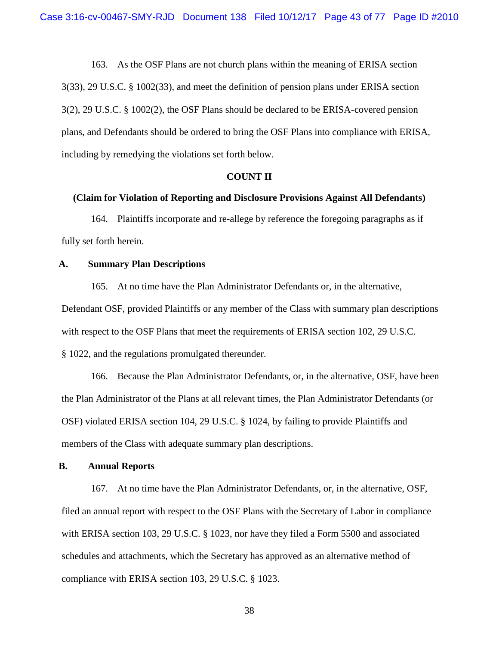163. As the OSF Plans are not church plans within the meaning of ERISA section 3(33), 29 U.S.C. § 1002(33), and meet the definition of pension plans under ERISA section 3(2), 29 U.S.C. § 1002(2), the OSF Plans should be declared to be ERISA-covered pension plans, and Defendants should be ordered to bring the OSF Plans into compliance with ERISA, including by remedying the violations set forth below.

### **COUNT II**

# **(Claim for Violation of Reporting and Disclosure Provisions Against All Defendants)**

164. Plaintiffs incorporate and re-allege by reference the foregoing paragraphs as if fully set forth herein.

### **A. Summary Plan Descriptions**

165. At no time have the Plan Administrator Defendants or, in the alternative, Defendant OSF, provided Plaintiffs or any member of the Class with summary plan descriptions with respect to the OSF Plans that meet the requirements of ERISA section 102, 29 U.S.C. § 1022, and the regulations promulgated thereunder.

166. Because the Plan Administrator Defendants, or, in the alternative, OSF, have been the Plan Administrator of the Plans at all relevant times, the Plan Administrator Defendants (or OSF) violated ERISA section 104, 29 U.S.C. § 1024, by failing to provide Plaintiffs and members of the Class with adequate summary plan descriptions.

### **B. Annual Reports**

167. At no time have the Plan Administrator Defendants, or, in the alternative, OSF, filed an annual report with respect to the OSF Plans with the Secretary of Labor in compliance with ERISA section 103, 29 U.S.C. § 1023, nor have they filed a Form 5500 and associated schedules and attachments, which the Secretary has approved as an alternative method of compliance with ERISA section 103, 29 U.S.C. § 1023.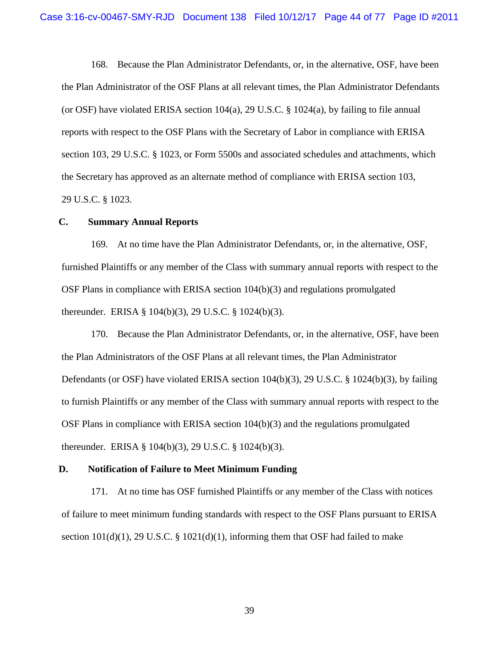168. Because the Plan Administrator Defendants, or, in the alternative, OSF, have been the Plan Administrator of the OSF Plans at all relevant times, the Plan Administrator Defendants (or OSF) have violated ERISA section 104(a), 29 U.S.C. § 1024(a), by failing to file annual reports with respect to the OSF Plans with the Secretary of Labor in compliance with ERISA section 103, 29 U.S.C. § 1023, or Form 5500s and associated schedules and attachments, which the Secretary has approved as an alternate method of compliance with ERISA section 103, 29 U.S.C. § 1023.

## **C. Summary Annual Reports**

169. At no time have the Plan Administrator Defendants, or, in the alternative, OSF, furnished Plaintiffs or any member of the Class with summary annual reports with respect to the OSF Plans in compliance with ERISA section 104(b)(3) and regulations promulgated thereunder. ERISA § 104(b)(3), 29 U.S.C. § 1024(b)(3).

170. Because the Plan Administrator Defendants, or, in the alternative, OSF, have been the Plan Administrators of the OSF Plans at all relevant times, the Plan Administrator Defendants (or OSF) have violated ERISA section 104(b)(3), 29 U.S.C. § 1024(b)(3), by failing to furnish Plaintiffs or any member of the Class with summary annual reports with respect to the OSF Plans in compliance with ERISA section  $104(b)(3)$  and the regulations promulgated thereunder. ERISA § 104(b)(3), 29 U.S.C. § 1024(b)(3).

#### **D. Notification of Failure to Meet Minimum Funding**

171. At no time has OSF furnished Plaintiffs or any member of the Class with notices of failure to meet minimum funding standards with respect to the OSF Plans pursuant to ERISA section  $101(d)(1)$ , 29 U.S.C. §  $1021(d)(1)$ , informing them that OSF had failed to make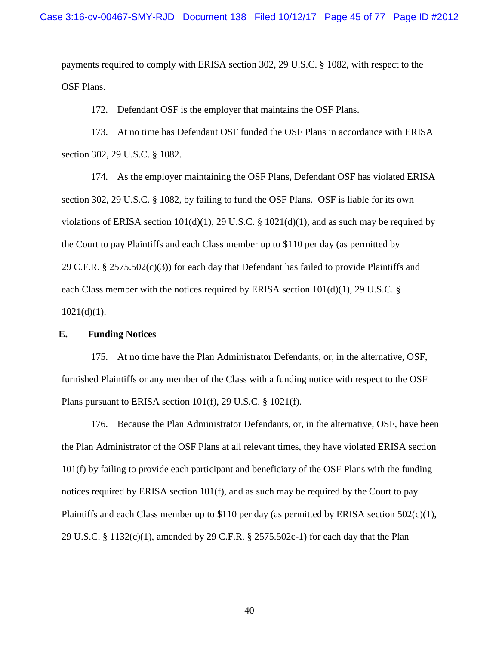payments required to comply with ERISA section 302, 29 U.S.C. § 1082, with respect to the OSF Plans.

172. Defendant OSF is the employer that maintains the OSF Plans.

173. At no time has Defendant OSF funded the OSF Plans in accordance with ERISA section 302, 29 U.S.C. § 1082.

174. As the employer maintaining the OSF Plans, Defendant OSF has violated ERISA section 302, 29 U.S.C. § 1082, by failing to fund the OSF Plans. OSF is liable for its own violations of ERISA section  $101(d)(1)$ , 29 U.S.C. §  $1021(d)(1)$ , and as such may be required by the Court to pay Plaintiffs and each Class member up to \$110 per day (as permitted by 29 C.F.R. § 2575.502(c)(3)) for each day that Defendant has failed to provide Plaintiffs and each Class member with the notices required by ERISA section  $101(d)(1)$ , 29 U.S.C. §  $1021(d)(1)$ .

# **E. Funding Notices**

175. At no time have the Plan Administrator Defendants, or, in the alternative, OSF, furnished Plaintiffs or any member of the Class with a funding notice with respect to the OSF Plans pursuant to ERISA section 101(f), 29 U.S.C. § 1021(f).

176. Because the Plan Administrator Defendants, or, in the alternative, OSF, have been the Plan Administrator of the OSF Plans at all relevant times, they have violated ERISA section 101(f) by failing to provide each participant and beneficiary of the OSF Plans with the funding notices required by ERISA section 101(f), and as such may be required by the Court to pay Plaintiffs and each Class member up to \$110 per day (as permitted by ERISA section 502(c)(1), 29 U.S.C. § 1132(c)(1), amended by 29 C.F.R. § 2575.502c-1) for each day that the Plan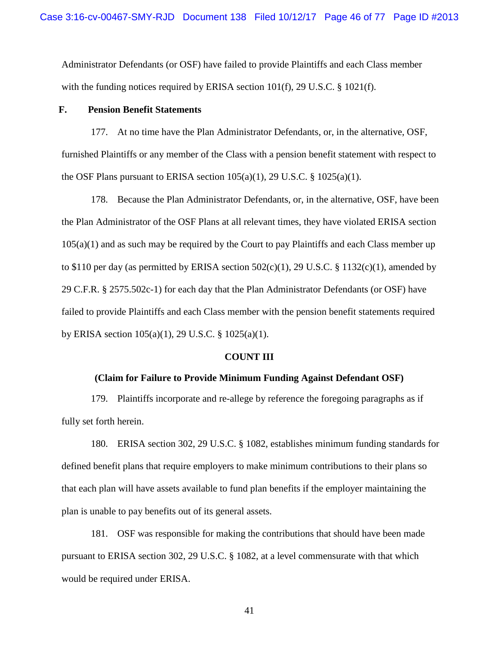Administrator Defendants (or OSF) have failed to provide Plaintiffs and each Class member with the funding notices required by ERISA section  $101(f)$ , 29 U.S.C. § 1021(f).

## **F. Pension Benefit Statements**

177. At no time have the Plan Administrator Defendants, or, in the alternative, OSF, furnished Plaintiffs or any member of the Class with a pension benefit statement with respect to the OSF Plans pursuant to ERISA section  $105(a)(1)$ , 29 U.S.C. §  $1025(a)(1)$ .

178. Because the Plan Administrator Defendants, or, in the alternative, OSF, have been the Plan Administrator of the OSF Plans at all relevant times, they have violated ERISA section  $105(a)(1)$  and as such may be required by the Court to pay Plaintiffs and each Class member up to \$110 per day (as permitted by ERISA section  $502(c)(1)$ , 29 U.S.C. § 1132(c)(1), amended by 29 C.F.R. § 2575.502c-1) for each day that the Plan Administrator Defendants (or OSF) have failed to provide Plaintiffs and each Class member with the pension benefit statements required by ERISA section 105(a)(1), 29 U.S.C. § 1025(a)(1).

### **COUNT III**

## **(Claim for Failure to Provide Minimum Funding Against Defendant OSF)**

179. Plaintiffs incorporate and re-allege by reference the foregoing paragraphs as if fully set forth herein.

180. ERISA section 302, 29 U.S.C. § 1082, establishes minimum funding standards for defined benefit plans that require employers to make minimum contributions to their plans so that each plan will have assets available to fund plan benefits if the employer maintaining the plan is unable to pay benefits out of its general assets.

181. OSF was responsible for making the contributions that should have been made pursuant to ERISA section 302, 29 U.S.C. § 1082, at a level commensurate with that which would be required under ERISA.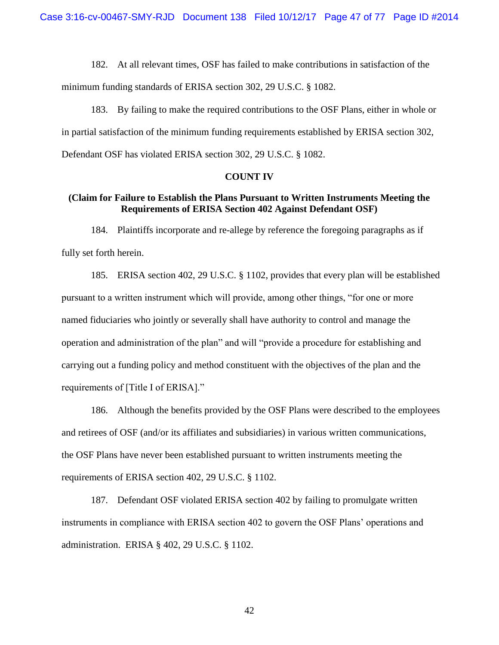182. At all relevant times, OSF has failed to make contributions in satisfaction of the minimum funding standards of ERISA section 302, 29 U.S.C. § 1082.

183. By failing to make the required contributions to the OSF Plans, either in whole or in partial satisfaction of the minimum funding requirements established by ERISA section 302, Defendant OSF has violated ERISA section 302, 29 U.S.C. § 1082.

### **COUNT IV**

# **(Claim for Failure to Establish the Plans Pursuant to Written Instruments Meeting the Requirements of ERISA Section 402 Against Defendant OSF)**

184. Plaintiffs incorporate and re-allege by reference the foregoing paragraphs as if fully set forth herein.

185. ERISA section 402, 29 U.S.C. § 1102, provides that every plan will be established pursuant to a written instrument which will provide, among other things, "for one or more named fiduciaries who jointly or severally shall have authority to control and manage the operation and administration of the plan" and will "provide a procedure for establishing and carrying out a funding policy and method constituent with the objectives of the plan and the requirements of [Title I of ERISA]."

186. Although the benefits provided by the OSF Plans were described to the employees and retirees of OSF (and/or its affiliates and subsidiaries) in various written communications, the OSF Plans have never been established pursuant to written instruments meeting the requirements of ERISA section 402, 29 U.S.C. § 1102.

187. Defendant OSF violated ERISA section 402 by failing to promulgate written instruments in compliance with ERISA section 402 to govern the OSF Plans' operations and administration. ERISA § 402, 29 U.S.C. § 1102.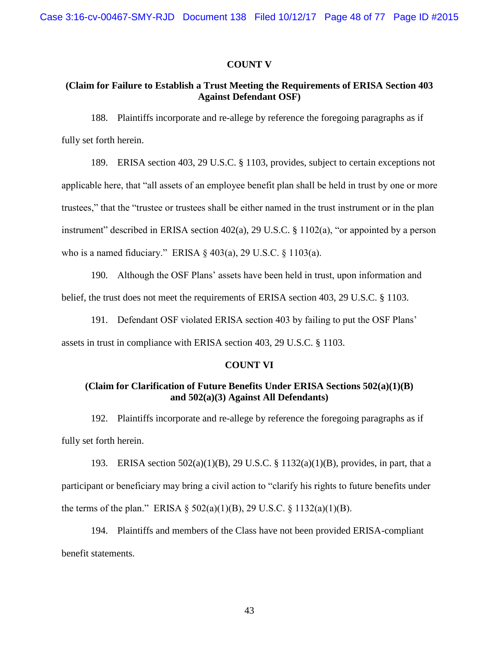### **COUNT V**

# **(Claim for Failure to Establish a Trust Meeting the Requirements of ERISA Section 403 Against Defendant OSF)**

188. Plaintiffs incorporate and re-allege by reference the foregoing paragraphs as if fully set forth herein.

189. ERISA section 403, 29 U.S.C. § 1103, provides, subject to certain exceptions not applicable here, that "all assets of an employee benefit plan shall be held in trust by one or more trustees," that the "trustee or trustees shall be either named in the trust instrument or in the plan instrument" described in ERISA section 402(a), 29 U.S.C. § 1102(a), "or appointed by a person who is a named fiduciary." ERISA § 403(a), 29 U.S.C. § 1103(a).

190. Although the OSF Plans' assets have been held in trust, upon information and belief, the trust does not meet the requirements of ERISA section 403, 29 U.S.C. § 1103.

191. Defendant OSF violated ERISA section 403 by failing to put the OSF Plans' assets in trust in compliance with ERISA section 403, 29 U.S.C. § 1103.

### **COUNT VI**

# **(Claim for Clarification of Future Benefits Under ERISA Sections 502(a)(1)(B) and 502(a)(3) Against All Defendants)**

192. Plaintiffs incorporate and re-allege by reference the foregoing paragraphs as if fully set forth herein.

193. ERISA section 502(a)(1)(B), 29 U.S.C. § 1132(a)(1)(B), provides, in part, that a participant or beneficiary may bring a civil action to "clarify his rights to future benefits under the terms of the plan." ERISA  $\S$  502(a)(1)(B), 29 U.S.C.  $\S$  1132(a)(1)(B).

194. Plaintiffs and members of the Class have not been provided ERISA-compliant benefit statements.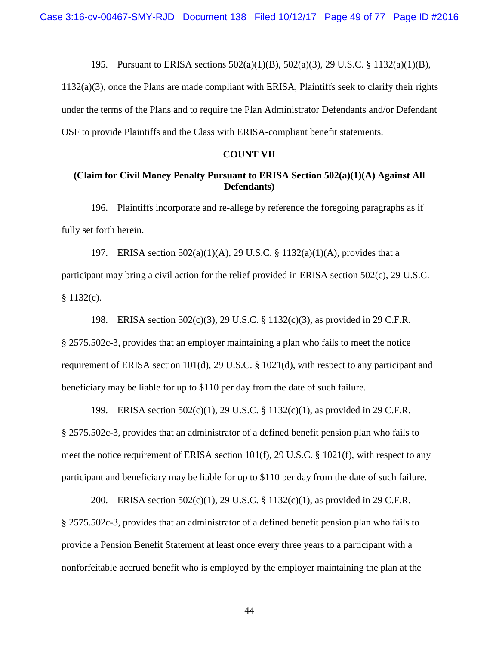195. Pursuant to ERISA sections 502(a)(1)(B), 502(a)(3), 29 U.S.C. § 1132(a)(1)(B),

1132(a)(3), once the Plans are made compliant with ERISA, Plaintiffs seek to clarify their rights under the terms of the Plans and to require the Plan Administrator Defendants and/or Defendant OSF to provide Plaintiffs and the Class with ERISA-compliant benefit statements.

## **COUNT VII**

# **(Claim for Civil Money Penalty Pursuant to ERISA Section 502(a)(1)(A) Against All Defendants)**

196. Plaintiffs incorporate and re-allege by reference the foregoing paragraphs as if fully set forth herein.

197. ERISA section 502(a)(1)(A), 29 U.S.C. § 1132(a)(1)(A), provides that a participant may bring a civil action for the relief provided in ERISA section 502(c), 29 U.S.C.  $$1132(c).$ 

198. ERISA section 502(c)(3), 29 U.S.C. § 1132(c)(3), as provided in 29 C.F.R. § 2575.502c-3, provides that an employer maintaining a plan who fails to meet the notice requirement of ERISA section 101(d), 29 U.S.C. § 1021(d), with respect to any participant and beneficiary may be liable for up to \$110 per day from the date of such failure.

199. ERISA section 502(c)(1), 29 U.S.C. § 1132(c)(1), as provided in 29 C.F.R. § 2575.502c-3, provides that an administrator of a defined benefit pension plan who fails to meet the notice requirement of ERISA section 101(f), 29 U.S.C. § 1021(f), with respect to any participant and beneficiary may be liable for up to \$110 per day from the date of such failure.

200. ERISA section 502(c)(1), 29 U.S.C. § 1132(c)(1), as provided in 29 C.F.R. § 2575.502c-3, provides that an administrator of a defined benefit pension plan who fails to provide a Pension Benefit Statement at least once every three years to a participant with a nonforfeitable accrued benefit who is employed by the employer maintaining the plan at the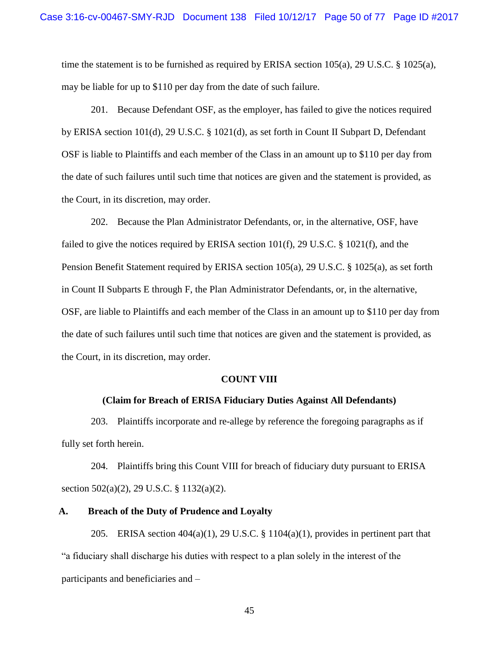time the statement is to be furnished as required by ERISA section 105(a), 29 U.S.C. § 1025(a), may be liable for up to \$110 per day from the date of such failure.

201. Because Defendant OSF, as the employer, has failed to give the notices required by ERISA section 101(d), 29 U.S.C. § 1021(d), as set forth in Count II Subpart D, Defendant OSF is liable to Plaintiffs and each member of the Class in an amount up to \$110 per day from the date of such failures until such time that notices are given and the statement is provided, as the Court, in its discretion, may order.

202. Because the Plan Administrator Defendants, or, in the alternative, OSF, have failed to give the notices required by ERISA section 101(f), 29 U.S.C. § 1021(f), and the Pension Benefit Statement required by ERISA section 105(a), 29 U.S.C. § 1025(a), as set forth in Count II Subparts E through F, the Plan Administrator Defendants, or, in the alternative, OSF, are liable to Plaintiffs and each member of the Class in an amount up to \$110 per day from the date of such failures until such time that notices are given and the statement is provided, as the Court, in its discretion, may order.

#### **COUNT VIII**

### **(Claim for Breach of ERISA Fiduciary Duties Against All Defendants)**

203. Plaintiffs incorporate and re-allege by reference the foregoing paragraphs as if fully set forth herein.

204. Plaintiffs bring this Count VIII for breach of fiduciary duty pursuant to ERISA section 502(a)(2), 29 U.S.C. § 1132(a)(2).

### **A. Breach of the Duty of Prudence and Loyalty**

205. ERISA section  $404(a)(1)$ , 29 U.S.C. § 1104 $(a)(1)$ , provides in pertinent part that "a fiduciary shall discharge his duties with respect to a plan solely in the interest of the participants and beneficiaries and –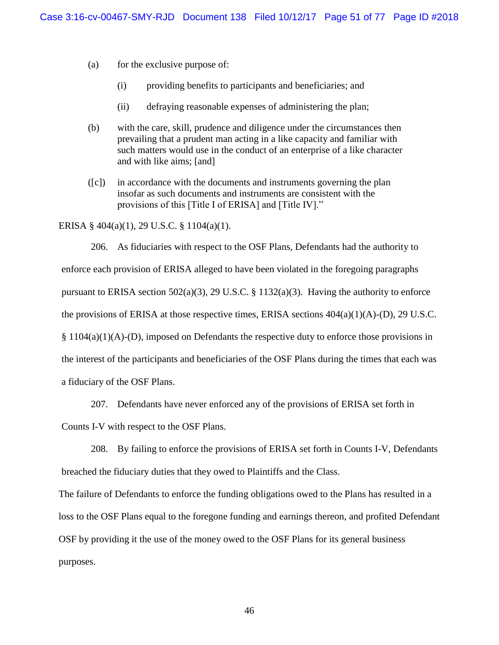- (a) for the exclusive purpose of:
	- (i) providing benefits to participants and beneficiaries; and
	- (ii) defraying reasonable expenses of administering the plan;
- (b) with the care, skill, prudence and diligence under the circumstances then prevailing that a prudent man acting in a like capacity and familiar with such matters would use in the conduct of an enterprise of a like character and with like aims; [and]
- ([c]) in accordance with the documents and instruments governing the plan insofar as such documents and instruments are consistent with the provisions of this [Title I of ERISA] and [Title IV]."

ERISA § 404(a)(1), 29 U.S.C. § 1104(a)(1).

206. As fiduciaries with respect to the OSF Plans, Defendants had the authority to enforce each provision of ERISA alleged to have been violated in the foregoing paragraphs pursuant to ERISA section 502(a)(3), 29 U.S.C. § 1132(a)(3). Having the authority to enforce the provisions of ERISA at those respective times, ERISA sections  $404(a)(1)(A)$ -(D), 29 U.S.C.  $§ 1104(a)(1)(A)$ -(D), imposed on Defendants the respective duty to enforce those provisions in the interest of the participants and beneficiaries of the OSF Plans during the times that each was a fiduciary of the OSF Plans.

207. Defendants have never enforced any of the provisions of ERISA set forth in

Counts I-V with respect to the OSF Plans.

208. By failing to enforce the provisions of ERISA set forth in Counts I-V, Defendants breached the fiduciary duties that they owed to Plaintiffs and the Class.

The failure of Defendants to enforce the funding obligations owed to the Plans has resulted in a loss to the OSF Plans equal to the foregone funding and earnings thereon, and profited Defendant OSF by providing it the use of the money owed to the OSF Plans for its general business purposes.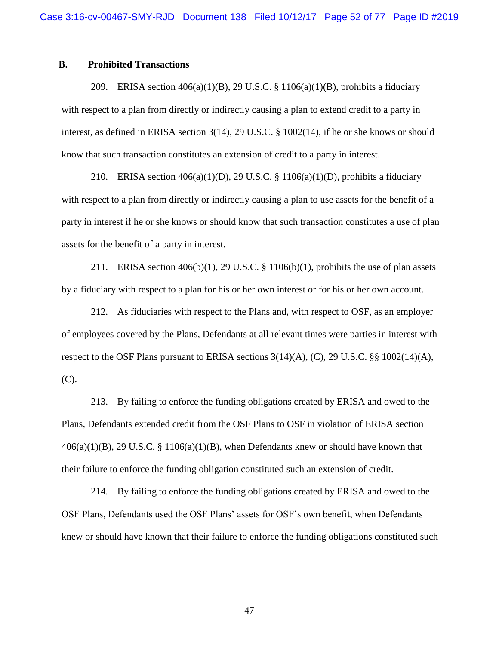# **B. Prohibited Transactions**

209. ERISA section  $406(a)(1)(B)$ , 29 U.S.C. § 1106(a)(1)(B), prohibits a fiduciary with respect to a plan from directly or indirectly causing a plan to extend credit to a party in interest, as defined in ERISA section 3(14), 29 U.S.C. § 1002(14), if he or she knows or should know that such transaction constitutes an extension of credit to a party in interest.

210. ERISA section  $406(a)(1)(D)$ , 29 U.S.C. § 1106(a)(1)(D), prohibits a fiduciary with respect to a plan from directly or indirectly causing a plan to use assets for the benefit of a party in interest if he or she knows or should know that such transaction constitutes a use of plan assets for the benefit of a party in interest.

211. ERISA section  $406(b)(1)$ , 29 U.S.C. § 1106(b)(1), prohibits the use of plan assets by a fiduciary with respect to a plan for his or her own interest or for his or her own account.

212. As fiduciaries with respect to the Plans and, with respect to OSF, as an employer of employees covered by the Plans, Defendants at all relevant times were parties in interest with respect to the OSF Plans pursuant to ERISA sections  $3(14)(A)$ , (C), 29 U.S.C. §§ 1002(14)(A), (C).

213. By failing to enforce the funding obligations created by ERISA and owed to the Plans, Defendants extended credit from the OSF Plans to OSF in violation of ERISA section  $406(a)(1)(B)$ , 29 U.S.C. § 1106(a)(1)(B), when Defendants knew or should have known that their failure to enforce the funding obligation constituted such an extension of credit.

214. By failing to enforce the funding obligations created by ERISA and owed to the OSF Plans, Defendants used the OSF Plans' assets for OSF's own benefit, when Defendants knew or should have known that their failure to enforce the funding obligations constituted such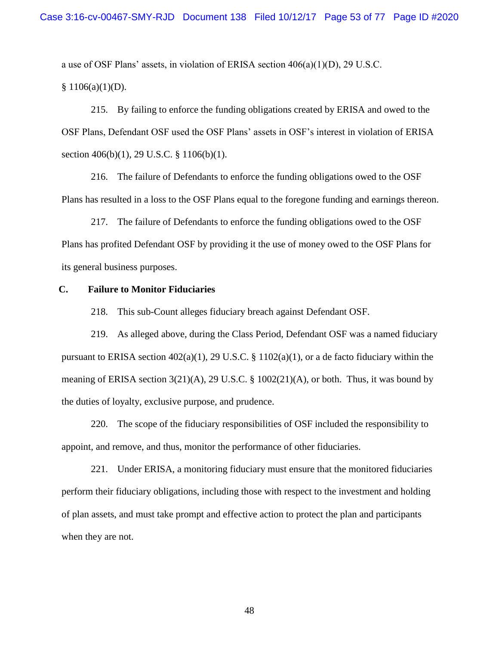a use of OSF Plans' assets, in violation of ERISA section  $406(a)(1)(D)$ , 29 U.S.C.  $$1106(a)(1)(D).$ 

215. By failing to enforce the funding obligations created by ERISA and owed to the OSF Plans, Defendant OSF used the OSF Plans' assets in OSF's interest in violation of ERISA section 406(b)(1), 29 U.S.C. § 1106(b)(1).

216. The failure of Defendants to enforce the funding obligations owed to the OSF Plans has resulted in a loss to the OSF Plans equal to the foregone funding and earnings thereon.

217. The failure of Defendants to enforce the funding obligations owed to the OSF Plans has profited Defendant OSF by providing it the use of money owed to the OSF Plans for its general business purposes.

## **C. Failure to Monitor Fiduciaries**

218. This sub-Count alleges fiduciary breach against Defendant OSF.

219. As alleged above, during the Class Period, Defendant OSF was a named fiduciary pursuant to ERISA section  $402(a)(1)$ , 29 U.S.C. § 1102(a)(1), or a de facto fiduciary within the meaning of ERISA section  $3(21)(A)$ ,  $29 \text{ U.S.C. }$  §  $1002(21)(A)$ , or both. Thus, it was bound by the duties of loyalty, exclusive purpose, and prudence.

220. The scope of the fiduciary responsibilities of OSF included the responsibility to appoint, and remove, and thus, monitor the performance of other fiduciaries.

221. Under ERISA, a monitoring fiduciary must ensure that the monitored fiduciaries perform their fiduciary obligations, including those with respect to the investment and holding of plan assets, and must take prompt and effective action to protect the plan and participants when they are not.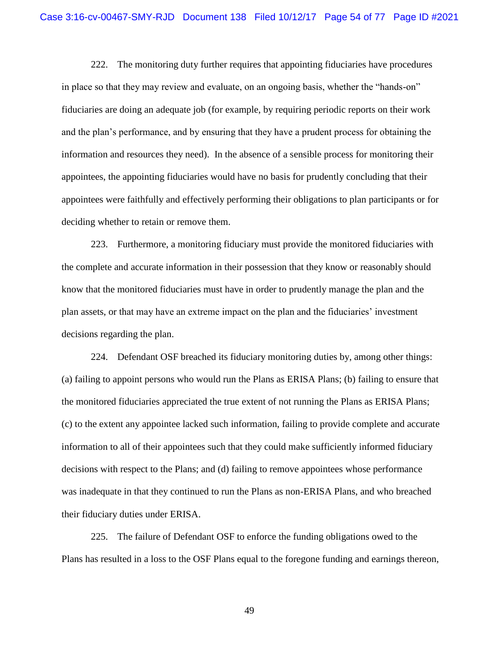222. The monitoring duty further requires that appointing fiduciaries have procedures in place so that they may review and evaluate, on an ongoing basis, whether the "hands-on" fiduciaries are doing an adequate job (for example, by requiring periodic reports on their work and the plan's performance, and by ensuring that they have a prudent process for obtaining the information and resources they need). In the absence of a sensible process for monitoring their appointees, the appointing fiduciaries would have no basis for prudently concluding that their appointees were faithfully and effectively performing their obligations to plan participants or for deciding whether to retain or remove them.

223. Furthermore, a monitoring fiduciary must provide the monitored fiduciaries with the complete and accurate information in their possession that they know or reasonably should know that the monitored fiduciaries must have in order to prudently manage the plan and the plan assets, or that may have an extreme impact on the plan and the fiduciaries' investment decisions regarding the plan.

224. Defendant OSF breached its fiduciary monitoring duties by, among other things: (a) failing to appoint persons who would run the Plans as ERISA Plans; (b) failing to ensure that the monitored fiduciaries appreciated the true extent of not running the Plans as ERISA Plans; (c) to the extent any appointee lacked such information, failing to provide complete and accurate information to all of their appointees such that they could make sufficiently informed fiduciary decisions with respect to the Plans; and (d) failing to remove appointees whose performance was inadequate in that they continued to run the Plans as non-ERISA Plans, and who breached their fiduciary duties under ERISA.

225. The failure of Defendant OSF to enforce the funding obligations owed to the Plans has resulted in a loss to the OSF Plans equal to the foregone funding and earnings thereon,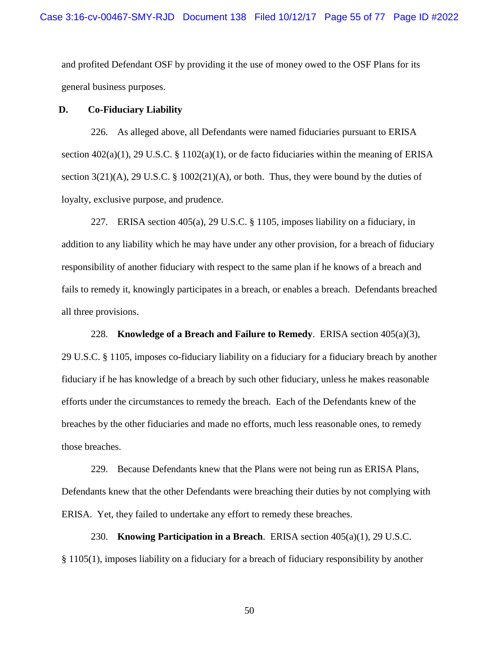and profited Defendant OSF by providing it the use of money owed to the OSF Plans for its general business purposes.

## **D. Co-Fiduciary Liability**

226. As alleged above, all Defendants were named fiduciaries pursuant to ERISA section 402(a)(1), 29 U.S.C. § 1102(a)(1), or de facto fiduciaries within the meaning of ERISA section  $3(21)(A)$ , 29 U.S.C. §  $1002(21)(A)$ , or both. Thus, they were bound by the duties of loyalty, exclusive purpose, and prudence.

227. ERISA section 405(a), 29 U.S.C. § 1105, imposes liability on a fiduciary, in addition to any liability which he may have under any other provision, for a breach of fiduciary responsibility of another fiduciary with respect to the same plan if he knows of a breach and fails to remedy it, knowingly participates in a breach, or enables a breach. Defendants breached all three provisions.

228. **Knowledge of a Breach and Failure to Remedy**. ERISA section 405(a)(3),

29 U.S.C. § 1105, imposes co-fiduciary liability on a fiduciary for a fiduciary breach by another fiduciary if he has knowledge of a breach by such other fiduciary, unless he makes reasonable efforts under the circumstances to remedy the breach. Each of the Defendants knew of the breaches by the other fiduciaries and made no efforts, much less reasonable ones, to remedy those breaches.

229. Because Defendants knew that the Plans were not being run as ERISA Plans, Defendants knew that the other Defendants were breaching their duties by not complying with ERISA. Yet, they failed to undertake any effort to remedy these breaches.

230. **Knowing Participation in a Breach**. ERISA section 405(a)(1), 29 U.S.C. § 1105(1), imposes liability on a fiduciary for a breach of fiduciary responsibility by another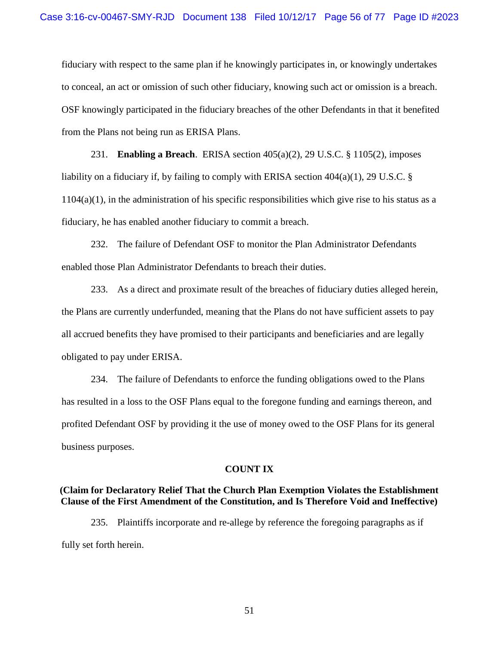fiduciary with respect to the same plan if he knowingly participates in, or knowingly undertakes to conceal, an act or omission of such other fiduciary, knowing such act or omission is a breach. OSF knowingly participated in the fiduciary breaches of the other Defendants in that it benefited from the Plans not being run as ERISA Plans.

231. **Enabling a Breach**. ERISA section 405(a)(2), 29 U.S.C. § 1105(2), imposes liability on a fiduciary if, by failing to comply with ERISA section  $404(a)(1)$ , 29 U.S.C. §  $1104(a)(1)$ , in the administration of his specific responsibilities which give rise to his status as a fiduciary, he has enabled another fiduciary to commit a breach.

232. The failure of Defendant OSF to monitor the Plan Administrator Defendants enabled those Plan Administrator Defendants to breach their duties.

233. As a direct and proximate result of the breaches of fiduciary duties alleged herein, the Plans are currently underfunded, meaning that the Plans do not have sufficient assets to pay all accrued benefits they have promised to their participants and beneficiaries and are legally obligated to pay under ERISA.

234. The failure of Defendants to enforce the funding obligations owed to the Plans has resulted in a loss to the OSF Plans equal to the foregone funding and earnings thereon, and profited Defendant OSF by providing it the use of money owed to the OSF Plans for its general business purposes.

#### **COUNT IX**

# **(Claim for Declaratory Relief That the Church Plan Exemption Violates the Establishment Clause of the First Amendment of the Constitution, and Is Therefore Void and Ineffective)**

235. Plaintiffs incorporate and re-allege by reference the foregoing paragraphs as if fully set forth herein.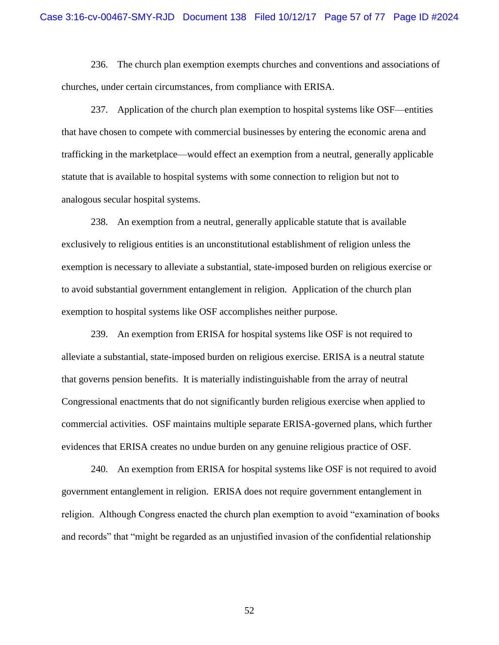236. The church plan exemption exempts churches and conventions and associations of churches, under certain circumstances, from compliance with ERISA.

237. Application of the church plan exemption to hospital systems like OSF—entities that have chosen to compete with commercial businesses by entering the economic arena and trafficking in the marketplace—would effect an exemption from a neutral, generally applicable statute that is available to hospital systems with some connection to religion but not to analogous secular hospital systems.

238. An exemption from a neutral, generally applicable statute that is available exclusively to religious entities is an unconstitutional establishment of religion unless the exemption is necessary to alleviate a substantial, state-imposed burden on religious exercise or to avoid substantial government entanglement in religion. Application of the church plan exemption to hospital systems like OSF accomplishes neither purpose.

239. An exemption from ERISA for hospital systems like OSF is not required to alleviate a substantial, state-imposed burden on religious exercise. ERISA is a neutral statute that governs pension benefits. It is materially indistinguishable from the array of neutral Congressional enactments that do not significantly burden religious exercise when applied to commercial activities. OSF maintains multiple separate ERISA-governed plans, which further evidences that ERISA creates no undue burden on any genuine religious practice of OSF.

240. An exemption from ERISA for hospital systems like OSF is not required to avoid government entanglement in religion. ERISA does not require government entanglement in religion. Although Congress enacted the church plan exemption to avoid "examination of books and records" that "might be regarded as an unjustified invasion of the confidential relationship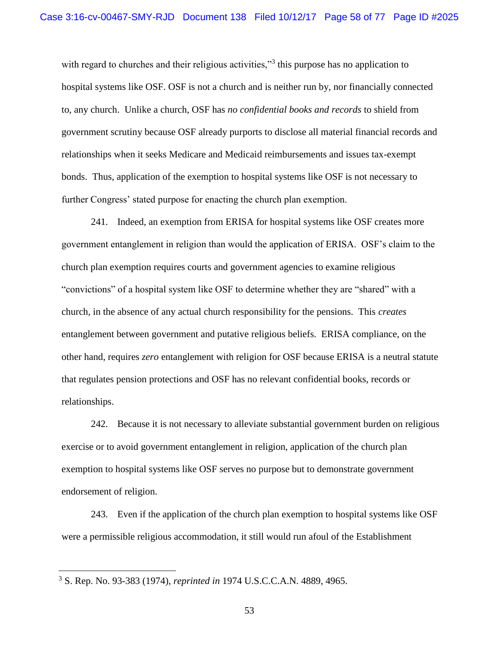with regard to churches and their religious activities,"<sup>3</sup> this purpose has no application to hospital systems like OSF. OSF is not a church and is neither run by, nor financially connected to, any church. Unlike a church, OSF has *no confidential books and records* to shield from government scrutiny because OSF already purports to disclose all material financial records and relationships when it seeks Medicare and Medicaid reimbursements and issues tax-exempt bonds. Thus, application of the exemption to hospital systems like OSF is not necessary to further Congress' stated purpose for enacting the church plan exemption.

241. Indeed, an exemption from ERISA for hospital systems like OSF creates more government entanglement in religion than would the application of ERISA. OSF's claim to the church plan exemption requires courts and government agencies to examine religious "convictions" of a hospital system like OSF to determine whether they are "shared" with a church, in the absence of any actual church responsibility for the pensions. This *creates* entanglement between government and putative religious beliefs. ERISA compliance, on the other hand, requires *zero* entanglement with religion for OSF because ERISA is a neutral statute that regulates pension protections and OSF has no relevant confidential books, records or relationships.

242. Because it is not necessary to alleviate substantial government burden on religious exercise or to avoid government entanglement in religion, application of the church plan exemption to hospital systems like OSF serves no purpose but to demonstrate government endorsement of religion.

243. Even if the application of the church plan exemption to hospital systems like OSF were a permissible religious accommodation, it still would run afoul of the Establishment

 $\overline{a}$ 

<sup>3</sup> S. Rep. No. 93-383 (1974), *reprinted in* 1974 U.S.C.C.A.N. 4889, 4965.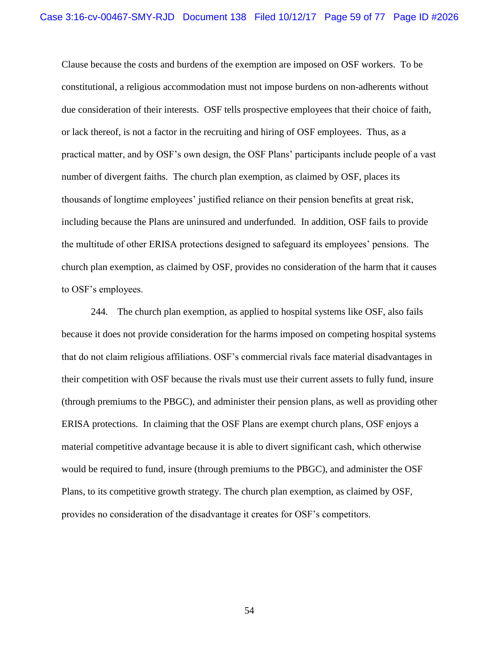Clause because the costs and burdens of the exemption are imposed on OSF workers. To be constitutional, a religious accommodation must not impose burdens on non-adherents without due consideration of their interests. OSF tells prospective employees that their choice of faith, or lack thereof, is not a factor in the recruiting and hiring of OSF employees. Thus, as a practical matter, and by OSF's own design, the OSF Plans' participants include people of a vast number of divergent faiths. The church plan exemption, as claimed by OSF, places its thousands of longtime employees' justified reliance on their pension benefits at great risk, including because the Plans are uninsured and underfunded. In addition, OSF fails to provide the multitude of other ERISA protections designed to safeguard its employees' pensions. The church plan exemption, as claimed by OSF, provides no consideration of the harm that it causes to OSF's employees.

244. The church plan exemption, as applied to hospital systems like OSF, also fails because it does not provide consideration for the harms imposed on competing hospital systems that do not claim religious affiliations. OSF's commercial rivals face material disadvantages in their competition with OSF because the rivals must use their current assets to fully fund, insure (through premiums to the PBGC), and administer their pension plans, as well as providing other ERISA protections. In claiming that the OSF Plans are exempt church plans, OSF enjoys a material competitive advantage because it is able to divert significant cash, which otherwise would be required to fund, insure (through premiums to the PBGC), and administer the OSF Plans, to its competitive growth strategy. The church plan exemption, as claimed by OSF, provides no consideration of the disadvantage it creates for OSF's competitors.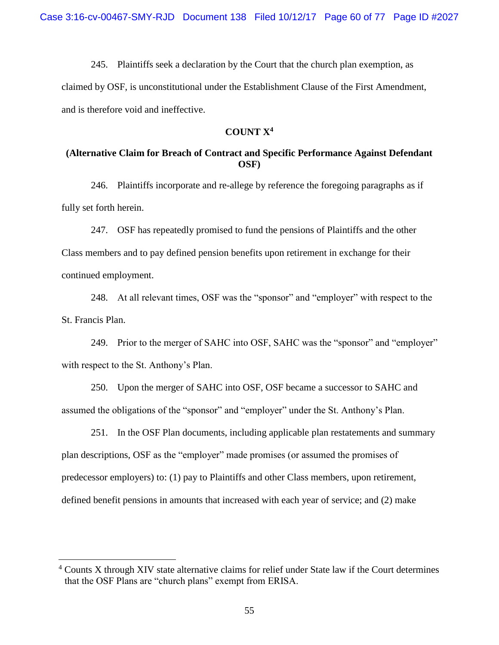245. Plaintiffs seek a declaration by the Court that the church plan exemption, as claimed by OSF, is unconstitutional under the Establishment Clause of the First Amendment, and is therefore void and ineffective.

# **COUNT X<sup>4</sup>**

# **(Alternative Claim for Breach of Contract and Specific Performance Against Defendant OSF)**

246. Plaintiffs incorporate and re-allege by reference the foregoing paragraphs as if fully set forth herein.

247. OSF has repeatedly promised to fund the pensions of Plaintiffs and the other Class members and to pay defined pension benefits upon retirement in exchange for their continued employment.

248. At all relevant times, OSF was the "sponsor" and "employer" with respect to the St. Francis Plan.

249. Prior to the merger of SAHC into OSF, SAHC was the "sponsor" and "employer" with respect to the St. Anthony's Plan.

250. Upon the merger of SAHC into OSF, OSF became a successor to SAHC and assumed the obligations of the "sponsor" and "employer" under the St. Anthony's Plan.

251. In the OSF Plan documents, including applicable plan restatements and summary plan descriptions, OSF as the "employer" made promises (or assumed the promises of predecessor employers) to: (1) pay to Plaintiffs and other Class members, upon retirement, defined benefit pensions in amounts that increased with each year of service; and (2) make

 $\overline{a}$ 

<sup>4</sup> Counts X through XIV state alternative claims for relief under State law if the Court determines that the OSF Plans are "church plans" exempt from ERISA.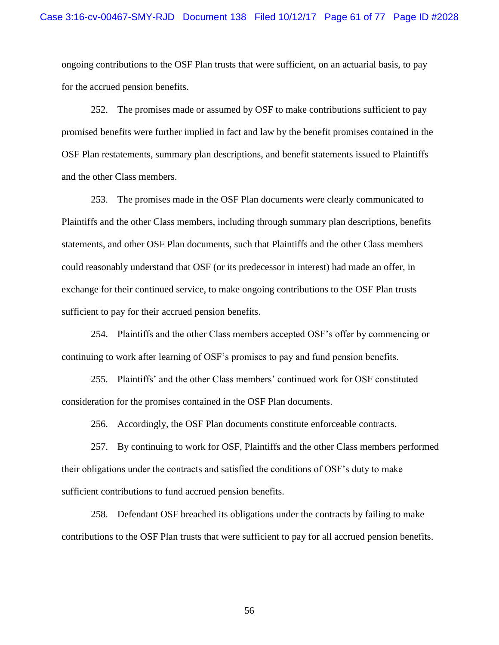ongoing contributions to the OSF Plan trusts that were sufficient, on an actuarial basis, to pay for the accrued pension benefits.

252. The promises made or assumed by OSF to make contributions sufficient to pay promised benefits were further implied in fact and law by the benefit promises contained in the OSF Plan restatements, summary plan descriptions, and benefit statements issued to Plaintiffs and the other Class members.

253. The promises made in the OSF Plan documents were clearly communicated to Plaintiffs and the other Class members, including through summary plan descriptions, benefits statements, and other OSF Plan documents, such that Plaintiffs and the other Class members could reasonably understand that OSF (or its predecessor in interest) had made an offer, in exchange for their continued service, to make ongoing contributions to the OSF Plan trusts sufficient to pay for their accrued pension benefits.

254. Plaintiffs and the other Class members accepted OSF's offer by commencing or continuing to work after learning of OSF's promises to pay and fund pension benefits.

255. Plaintiffs' and the other Class members' continued work for OSF constituted consideration for the promises contained in the OSF Plan documents.

256. Accordingly, the OSF Plan documents constitute enforceable contracts.

257. By continuing to work for OSF, Plaintiffs and the other Class members performed their obligations under the contracts and satisfied the conditions of OSF's duty to make sufficient contributions to fund accrued pension benefits.

258. Defendant OSF breached its obligations under the contracts by failing to make contributions to the OSF Plan trusts that were sufficient to pay for all accrued pension benefits.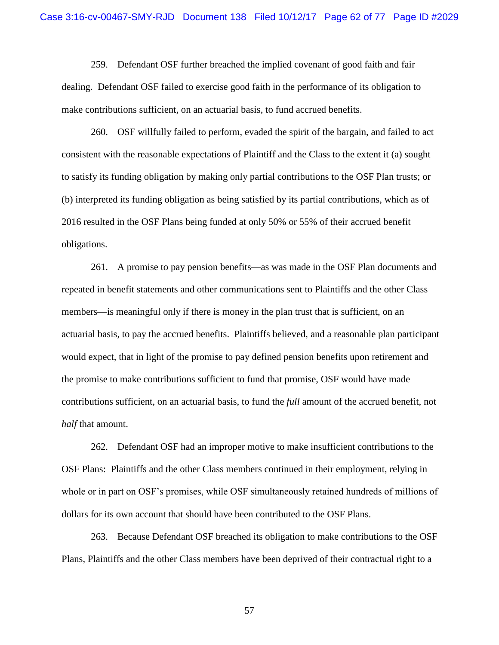259. Defendant OSF further breached the implied covenant of good faith and fair dealing. Defendant OSF failed to exercise good faith in the performance of its obligation to make contributions sufficient, on an actuarial basis, to fund accrued benefits.

260. OSF willfully failed to perform, evaded the spirit of the bargain, and failed to act consistent with the reasonable expectations of Plaintiff and the Class to the extent it (a) sought to satisfy its funding obligation by making only partial contributions to the OSF Plan trusts; or (b) interpreted its funding obligation as being satisfied by its partial contributions, which as of 2016 resulted in the OSF Plans being funded at only 50% or 55% of their accrued benefit obligations.

261. A promise to pay pension benefits—as was made in the OSF Plan documents and repeated in benefit statements and other communications sent to Plaintiffs and the other Class members—is meaningful only if there is money in the plan trust that is sufficient, on an actuarial basis, to pay the accrued benefits. Plaintiffs believed, and a reasonable plan participant would expect, that in light of the promise to pay defined pension benefits upon retirement and the promise to make contributions sufficient to fund that promise, OSF would have made contributions sufficient, on an actuarial basis, to fund the *full* amount of the accrued benefit, not *half* that amount.

262. Defendant OSF had an improper motive to make insufficient contributions to the OSF Plans: Plaintiffs and the other Class members continued in their employment, relying in whole or in part on OSF's promises, while OSF simultaneously retained hundreds of millions of dollars for its own account that should have been contributed to the OSF Plans.

263. Because Defendant OSF breached its obligation to make contributions to the OSF Plans, Plaintiffs and the other Class members have been deprived of their contractual right to a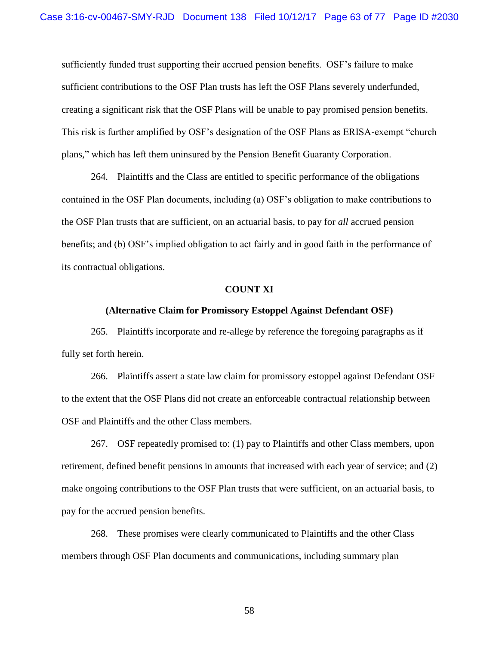sufficiently funded trust supporting their accrued pension benefits. OSF's failure to make sufficient contributions to the OSF Plan trusts has left the OSF Plans severely underfunded, creating a significant risk that the OSF Plans will be unable to pay promised pension benefits. This risk is further amplified by OSF's designation of the OSF Plans as ERISA-exempt "church plans," which has left them uninsured by the Pension Benefit Guaranty Corporation.

264. Plaintiffs and the Class are entitled to specific performance of the obligations contained in the OSF Plan documents, including (a) OSF's obligation to make contributions to the OSF Plan trusts that are sufficient, on an actuarial basis, to pay for *all* accrued pension benefits; and (b) OSF's implied obligation to act fairly and in good faith in the performance of its contractual obligations.

## **COUNT XI**

### **(Alternative Claim for Promissory Estoppel Against Defendant OSF)**

265. Plaintiffs incorporate and re-allege by reference the foregoing paragraphs as if fully set forth herein.

266. Plaintiffs assert a state law claim for promissory estoppel against Defendant OSF to the extent that the OSF Plans did not create an enforceable contractual relationship between OSF and Plaintiffs and the other Class members.

267. OSF repeatedly promised to: (1) pay to Plaintiffs and other Class members, upon retirement, defined benefit pensions in amounts that increased with each year of service; and (2) make ongoing contributions to the OSF Plan trusts that were sufficient, on an actuarial basis, to pay for the accrued pension benefits.

268. These promises were clearly communicated to Plaintiffs and the other Class members through OSF Plan documents and communications, including summary plan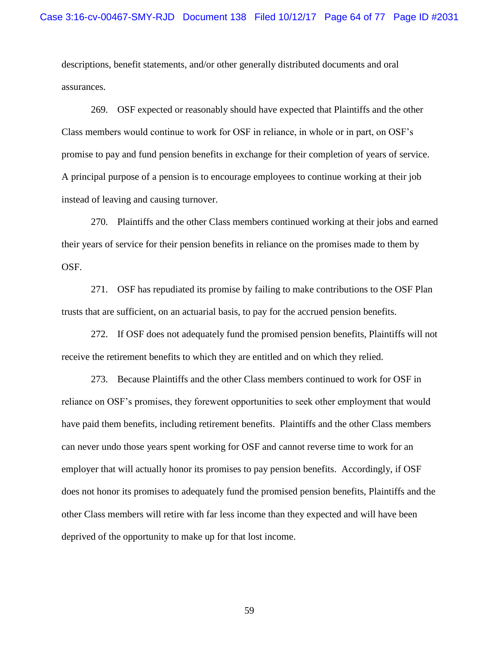descriptions, benefit statements, and/or other generally distributed documents and oral assurances.

269. OSF expected or reasonably should have expected that Plaintiffs and the other Class members would continue to work for OSF in reliance, in whole or in part, on OSF's promise to pay and fund pension benefits in exchange for their completion of years of service. A principal purpose of a pension is to encourage employees to continue working at their job instead of leaving and causing turnover.

270. Plaintiffs and the other Class members continued working at their jobs and earned their years of service for their pension benefits in reliance on the promises made to them by OSF.

271. OSF has repudiated its promise by failing to make contributions to the OSF Plan trusts that are sufficient, on an actuarial basis, to pay for the accrued pension benefits.

272. If OSF does not adequately fund the promised pension benefits, Plaintiffs will not receive the retirement benefits to which they are entitled and on which they relied.

273. Because Plaintiffs and the other Class members continued to work for OSF in reliance on OSF's promises, they forewent opportunities to seek other employment that would have paid them benefits, including retirement benefits. Plaintiffs and the other Class members can never undo those years spent working for OSF and cannot reverse time to work for an employer that will actually honor its promises to pay pension benefits. Accordingly, if OSF does not honor its promises to adequately fund the promised pension benefits, Plaintiffs and the other Class members will retire with far less income than they expected and will have been deprived of the opportunity to make up for that lost income.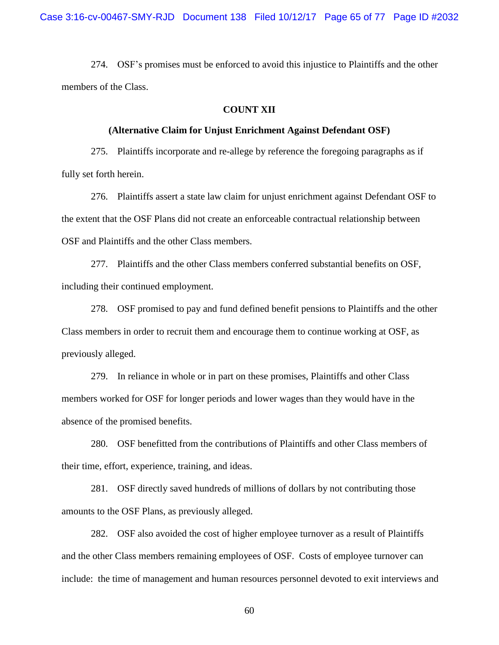274. OSF's promises must be enforced to avoid this injustice to Plaintiffs and the other members of the Class.

# **COUNT XII**

# **(Alternative Claim for Unjust Enrichment Against Defendant OSF)**

275. Plaintiffs incorporate and re-allege by reference the foregoing paragraphs as if fully set forth herein.

276. Plaintiffs assert a state law claim for unjust enrichment against Defendant OSF to the extent that the OSF Plans did not create an enforceable contractual relationship between OSF and Plaintiffs and the other Class members.

277. Plaintiffs and the other Class members conferred substantial benefits on OSF, including their continued employment.

278. OSF promised to pay and fund defined benefit pensions to Plaintiffs and the other Class members in order to recruit them and encourage them to continue working at OSF, as previously alleged.

279. In reliance in whole or in part on these promises, Plaintiffs and other Class members worked for OSF for longer periods and lower wages than they would have in the absence of the promised benefits.

280. OSF benefitted from the contributions of Plaintiffs and other Class members of their time, effort, experience, training, and ideas.

281. OSF directly saved hundreds of millions of dollars by not contributing those amounts to the OSF Plans, as previously alleged.

282. OSF also avoided the cost of higher employee turnover as a result of Plaintiffs and the other Class members remaining employees of OSF. Costs of employee turnover can include: the time of management and human resources personnel devoted to exit interviews and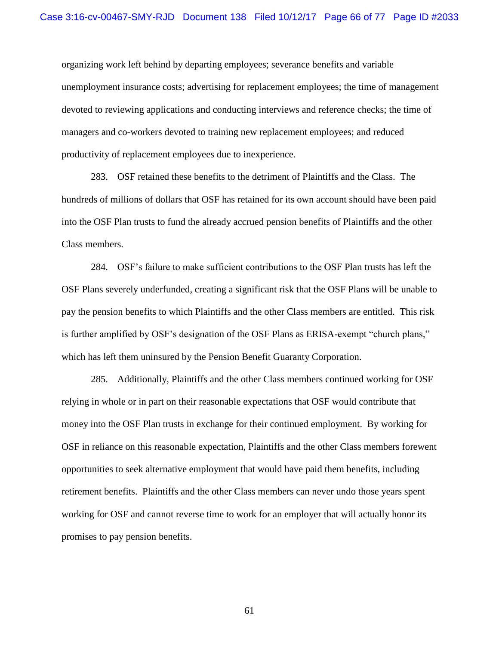organizing work left behind by departing employees; severance benefits and variable unemployment insurance costs; advertising for replacement employees; the time of management devoted to reviewing applications and conducting interviews and reference checks; the time of managers and co-workers devoted to training new replacement employees; and reduced productivity of replacement employees due to inexperience.

283. OSF retained these benefits to the detriment of Plaintiffs and the Class. The hundreds of millions of dollars that OSF has retained for its own account should have been paid into the OSF Plan trusts to fund the already accrued pension benefits of Plaintiffs and the other Class members.

284. OSF's failure to make sufficient contributions to the OSF Plan trusts has left the OSF Plans severely underfunded, creating a significant risk that the OSF Plans will be unable to pay the pension benefits to which Plaintiffs and the other Class members are entitled. This risk is further amplified by OSF's designation of the OSF Plans as ERISA-exempt "church plans," which has left them uninsured by the Pension Benefit Guaranty Corporation.

285. Additionally, Plaintiffs and the other Class members continued working for OSF relying in whole or in part on their reasonable expectations that OSF would contribute that money into the OSF Plan trusts in exchange for their continued employment. By working for OSF in reliance on this reasonable expectation, Plaintiffs and the other Class members forewent opportunities to seek alternative employment that would have paid them benefits, including retirement benefits. Plaintiffs and the other Class members can never undo those years spent working for OSF and cannot reverse time to work for an employer that will actually honor its promises to pay pension benefits.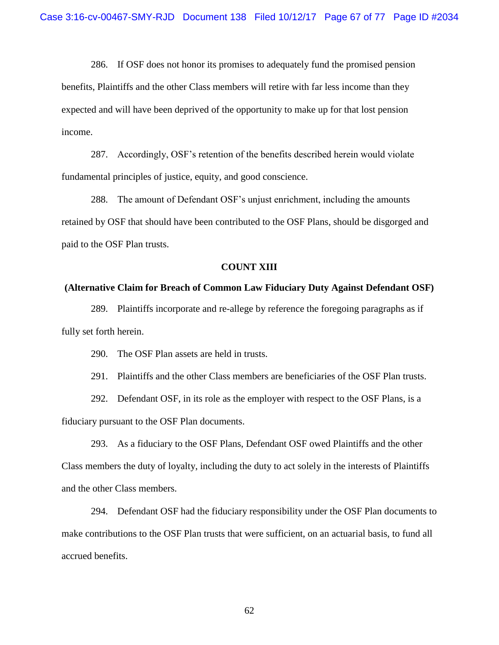286. If OSF does not honor its promises to adequately fund the promised pension benefits, Plaintiffs and the other Class members will retire with far less income than they expected and will have been deprived of the opportunity to make up for that lost pension income.

287. Accordingly, OSF's retention of the benefits described herein would violate fundamental principles of justice, equity, and good conscience.

288. The amount of Defendant OSF's unjust enrichment, including the amounts retained by OSF that should have been contributed to the OSF Plans, should be disgorged and paid to the OSF Plan trusts.

# **COUNT XIII**

### **(Alternative Claim for Breach of Common Law Fiduciary Duty Against Defendant OSF)**

289. Plaintiffs incorporate and re-allege by reference the foregoing paragraphs as if fully set forth herein.

290. The OSF Plan assets are held in trusts.

291. Plaintiffs and the other Class members are beneficiaries of the OSF Plan trusts.

292. Defendant OSF, in its role as the employer with respect to the OSF Plans, is a fiduciary pursuant to the OSF Plan documents.

293. As a fiduciary to the OSF Plans, Defendant OSF owed Plaintiffs and the other Class members the duty of loyalty, including the duty to act solely in the interests of Plaintiffs and the other Class members.

294. Defendant OSF had the fiduciary responsibility under the OSF Plan documents to make contributions to the OSF Plan trusts that were sufficient, on an actuarial basis, to fund all accrued benefits.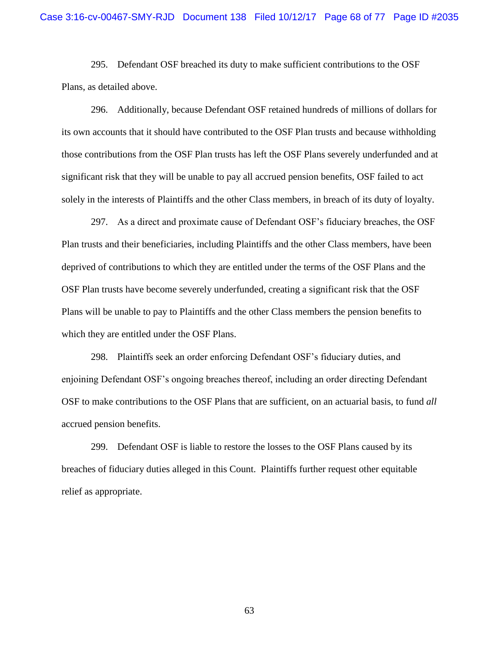295. Defendant OSF breached its duty to make sufficient contributions to the OSF Plans, as detailed above.

296. Additionally, because Defendant OSF retained hundreds of millions of dollars for its own accounts that it should have contributed to the OSF Plan trusts and because withholding those contributions from the OSF Plan trusts has left the OSF Plans severely underfunded and at significant risk that they will be unable to pay all accrued pension benefits, OSF failed to act solely in the interests of Plaintiffs and the other Class members, in breach of its duty of loyalty.

297. As a direct and proximate cause of Defendant OSF's fiduciary breaches, the OSF Plan trusts and their beneficiaries, including Plaintiffs and the other Class members, have been deprived of contributions to which they are entitled under the terms of the OSF Plans and the OSF Plan trusts have become severely underfunded, creating a significant risk that the OSF Plans will be unable to pay to Plaintiffs and the other Class members the pension benefits to which they are entitled under the OSF Plans.

298. Plaintiffs seek an order enforcing Defendant OSF's fiduciary duties, and enjoining Defendant OSF's ongoing breaches thereof, including an order directing Defendant OSF to make contributions to the OSF Plans that are sufficient, on an actuarial basis, to fund *all* accrued pension benefits.

299. Defendant OSF is liable to restore the losses to the OSF Plans caused by its breaches of fiduciary duties alleged in this Count. Plaintiffs further request other equitable relief as appropriate.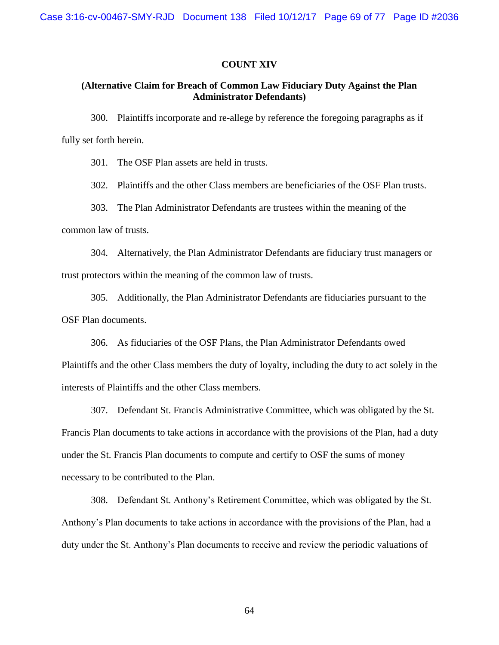## **COUNT XIV**

# **(Alternative Claim for Breach of Common Law Fiduciary Duty Against the Plan Administrator Defendants)**

300. Plaintiffs incorporate and re-allege by reference the foregoing paragraphs as if fully set forth herein.

301. The OSF Plan assets are held in trusts.

302. Plaintiffs and the other Class members are beneficiaries of the OSF Plan trusts.

303. The Plan Administrator Defendants are trustees within the meaning of the

common law of trusts.

304. Alternatively, the Plan Administrator Defendants are fiduciary trust managers or trust protectors within the meaning of the common law of trusts.

305. Additionally, the Plan Administrator Defendants are fiduciaries pursuant to the OSF Plan documents.

306. As fiduciaries of the OSF Plans, the Plan Administrator Defendants owed Plaintiffs and the other Class members the duty of loyalty, including the duty to act solely in the interests of Plaintiffs and the other Class members.

307. Defendant St. Francis Administrative Committee, which was obligated by the St. Francis Plan documents to take actions in accordance with the provisions of the Plan, had a duty under the St. Francis Plan documents to compute and certify to OSF the sums of money necessary to be contributed to the Plan.

308. Defendant St. Anthony's Retirement Committee, which was obligated by the St. Anthony's Plan documents to take actions in accordance with the provisions of the Plan, had a duty under the St. Anthony's Plan documents to receive and review the periodic valuations of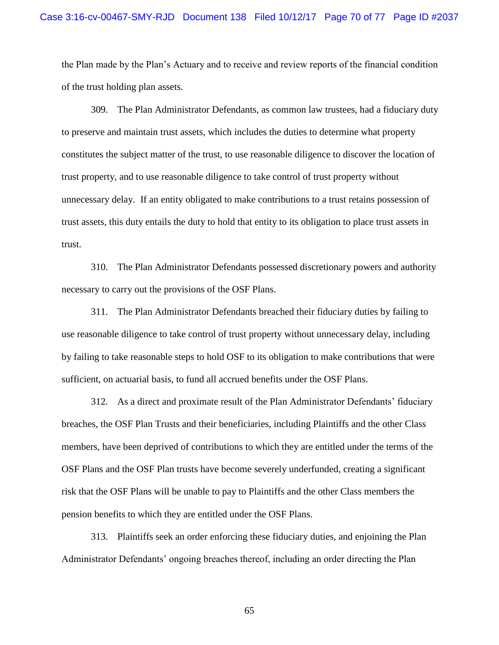the Plan made by the Plan's Actuary and to receive and review reports of the financial condition of the trust holding plan assets.

309. The Plan Administrator Defendants, as common law trustees, had a fiduciary duty to preserve and maintain trust assets, which includes the duties to determine what property constitutes the subject matter of the trust, to use reasonable diligence to discover the location of trust property, and to use reasonable diligence to take control of trust property without unnecessary delay. If an entity obligated to make contributions to a trust retains possession of trust assets, this duty entails the duty to hold that entity to its obligation to place trust assets in trust.

310. The Plan Administrator Defendants possessed discretionary powers and authority necessary to carry out the provisions of the OSF Plans.

311. The Plan Administrator Defendants breached their fiduciary duties by failing to use reasonable diligence to take control of trust property without unnecessary delay, including by failing to take reasonable steps to hold OSF to its obligation to make contributions that were sufficient, on actuarial basis, to fund all accrued benefits under the OSF Plans.

312. As a direct and proximate result of the Plan Administrator Defendants' fiduciary breaches, the OSF Plan Trusts and their beneficiaries, including Plaintiffs and the other Class members, have been deprived of contributions to which they are entitled under the terms of the OSF Plans and the OSF Plan trusts have become severely underfunded, creating a significant risk that the OSF Plans will be unable to pay to Plaintiffs and the other Class members the pension benefits to which they are entitled under the OSF Plans.

313. Plaintiffs seek an order enforcing these fiduciary duties, and enjoining the Plan Administrator Defendants' ongoing breaches thereof, including an order directing the Plan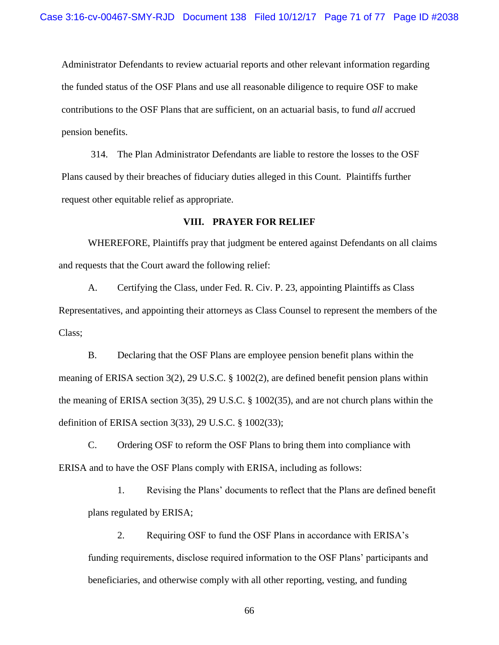Administrator Defendants to review actuarial reports and other relevant information regarding the funded status of the OSF Plans and use all reasonable diligence to require OSF to make contributions to the OSF Plans that are sufficient, on an actuarial basis, to fund *all* accrued pension benefits.

314. The Plan Administrator Defendants are liable to restore the losses to the OSF Plans caused by their breaches of fiduciary duties alleged in this Count. Plaintiffs further request other equitable relief as appropriate.

# **VIII. PRAYER FOR RELIEF**

WHEREFORE, Plaintiffs pray that judgment be entered against Defendants on all claims and requests that the Court award the following relief:

A. Certifying the Class, under Fed. R. Civ. P. 23, appointing Plaintiffs as Class Representatives, and appointing their attorneys as Class Counsel to represent the members of the Class;

B. Declaring that the OSF Plans are employee pension benefit plans within the meaning of ERISA section 3(2), 29 U.S.C. § 1002(2), are defined benefit pension plans within the meaning of ERISA section 3(35), 29 U.S.C. § 1002(35), and are not church plans within the definition of ERISA section 3(33), 29 U.S.C. § 1002(33);

C. Ordering OSF to reform the OSF Plans to bring them into compliance with ERISA and to have the OSF Plans comply with ERISA, including as follows:

1. Revising the Plans' documents to reflect that the Plans are defined benefit plans regulated by ERISA;

2. Requiring OSF to fund the OSF Plans in accordance with ERISA's funding requirements, disclose required information to the OSF Plans' participants and beneficiaries, and otherwise comply with all other reporting, vesting, and funding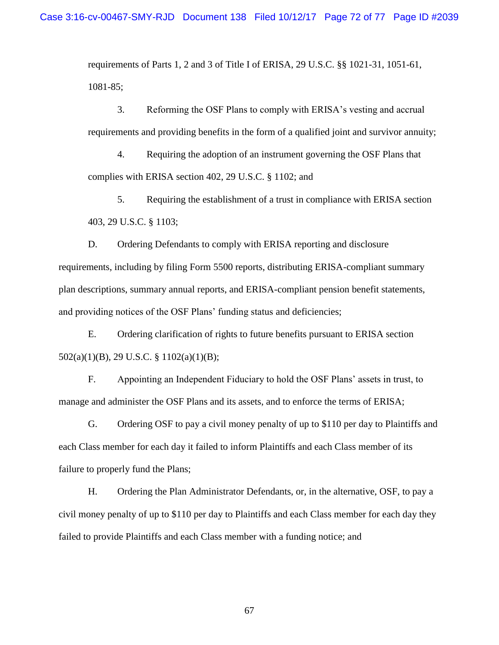requirements of Parts 1, 2 and 3 of Title I of ERISA, 29 U.S.C. §§ 1021-31, 1051-61, 1081-85;

3. Reforming the OSF Plans to comply with ERISA's vesting and accrual requirements and providing benefits in the form of a qualified joint and survivor annuity;

4. Requiring the adoption of an instrument governing the OSF Plans that complies with ERISA section 402, 29 U.S.C. § 1102; and

5. Requiring the establishment of a trust in compliance with ERISA section 403, 29 U.S.C. § 1103;

D. Ordering Defendants to comply with ERISA reporting and disclosure requirements, including by filing Form 5500 reports, distributing ERISA-compliant summary plan descriptions, summary annual reports, and ERISA-compliant pension benefit statements, and providing notices of the OSF Plans' funding status and deficiencies;

E. Ordering clarification of rights to future benefits pursuant to ERISA section 502(a)(1)(B), 29 U.S.C. § 1102(a)(1)(B);

F. Appointing an Independent Fiduciary to hold the OSF Plans' assets in trust, to manage and administer the OSF Plans and its assets, and to enforce the terms of ERISA;

G. Ordering OSF to pay a civil money penalty of up to \$110 per day to Plaintiffs and each Class member for each day it failed to inform Plaintiffs and each Class member of its failure to properly fund the Plans;

H. Ordering the Plan Administrator Defendants, or, in the alternative, OSF, to pay a civil money penalty of up to \$110 per day to Plaintiffs and each Class member for each day they failed to provide Plaintiffs and each Class member with a funding notice; and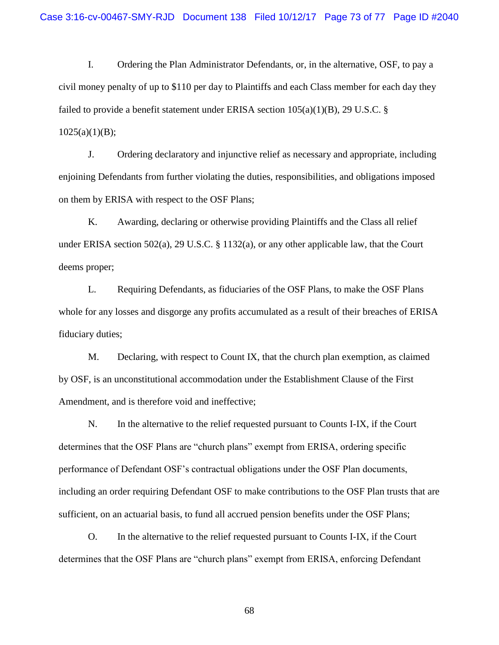I. Ordering the Plan Administrator Defendants, or, in the alternative, OSF, to pay a civil money penalty of up to \$110 per day to Plaintiffs and each Class member for each day they failed to provide a benefit statement under ERISA section  $105(a)(1)(B)$ , 29 U.S.C. §  $1025(a)(1)(B);$ 

J. Ordering declaratory and injunctive relief as necessary and appropriate, including enjoining Defendants from further violating the duties, responsibilities, and obligations imposed on them by ERISA with respect to the OSF Plans;

K. Awarding, declaring or otherwise providing Plaintiffs and the Class all relief under ERISA section 502(a), 29 U.S.C. § 1132(a), or any other applicable law, that the Court deems proper;

L. Requiring Defendants, as fiduciaries of the OSF Plans, to make the OSF Plans whole for any losses and disgorge any profits accumulated as a result of their breaches of ERISA fiduciary duties;

M. Declaring, with respect to Count IX, that the church plan exemption, as claimed by OSF, is an unconstitutional accommodation under the Establishment Clause of the First Amendment, and is therefore void and ineffective;

N. In the alternative to the relief requested pursuant to Counts I-IX, if the Court determines that the OSF Plans are "church plans" exempt from ERISA, ordering specific performance of Defendant OSF's contractual obligations under the OSF Plan documents, including an order requiring Defendant OSF to make contributions to the OSF Plan trusts that are sufficient, on an actuarial basis, to fund all accrued pension benefits under the OSF Plans;

O. In the alternative to the relief requested pursuant to Counts I-IX, if the Court determines that the OSF Plans are "church plans" exempt from ERISA, enforcing Defendant

68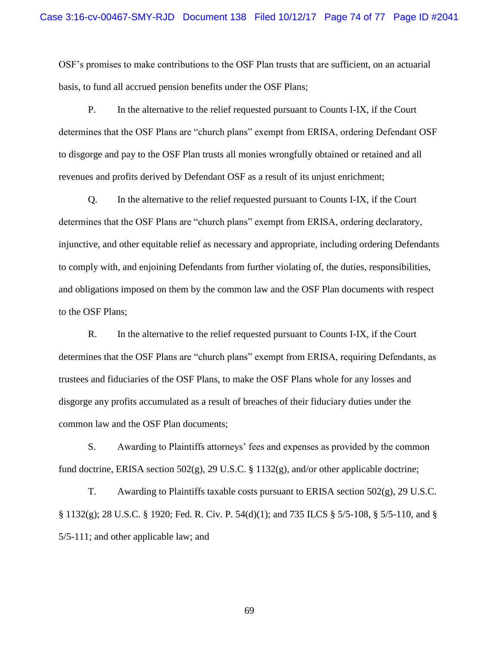OSF's promises to make contributions to the OSF Plan trusts that are sufficient, on an actuarial basis, to fund all accrued pension benefits under the OSF Plans;

P. In the alternative to the relief requested pursuant to Counts I-IX, if the Court determines that the OSF Plans are "church plans" exempt from ERISA, ordering Defendant OSF to disgorge and pay to the OSF Plan trusts all monies wrongfully obtained or retained and all revenues and profits derived by Defendant OSF as a result of its unjust enrichment;

Q. In the alternative to the relief requested pursuant to Counts I-IX, if the Court determines that the OSF Plans are "church plans" exempt from ERISA, ordering declaratory, injunctive, and other equitable relief as necessary and appropriate, including ordering Defendants to comply with, and enjoining Defendants from further violating of, the duties, responsibilities, and obligations imposed on them by the common law and the OSF Plan documents with respect to the OSF Plans;

R. In the alternative to the relief requested pursuant to Counts I-IX, if the Court determines that the OSF Plans are "church plans" exempt from ERISA, requiring Defendants, as trustees and fiduciaries of the OSF Plans, to make the OSF Plans whole for any losses and disgorge any profits accumulated as a result of breaches of their fiduciary duties under the common law and the OSF Plan documents;

S. Awarding to Plaintiffs attorneys' fees and expenses as provided by the common fund doctrine, ERISA section 502(g), 29 U.S.C. § 1132(g), and/or other applicable doctrine;

T. Awarding to Plaintiffs taxable costs pursuant to ERISA section 502(g), 29 U.S.C. § 1132(g); 28 U.S.C. § 1920; Fed. R. Civ. P. 54(d)(1); and 735 ILCS § 5/5-108, § 5/5-110, and § 5/5-111; and other applicable law; and

69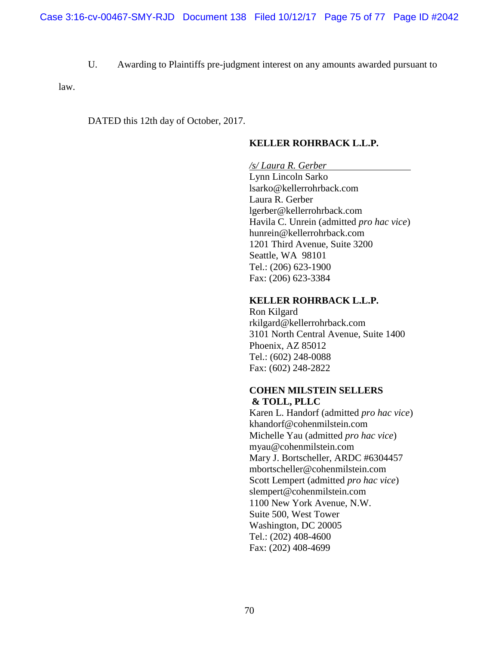U. Awarding to Plaintiffs pre-judgment interest on any amounts awarded pursuant to

law.

DATED this 12th day of October, 2017.

### **KELLER ROHRBACK L.L.P.**

#### */s/ Laura R. Gerber*

Lynn Lincoln Sarko lsarko@kellerrohrback.com Laura R. Gerber lgerber@kellerrohrback.com Havila C. Unrein (admitted *pro hac vice*) hunrein@kellerrohrback.com 1201 Third Avenue, Suite 3200 Seattle, WA 98101 Tel.: (206) 623-1900 Fax: (206) 623-3384

### **KELLER ROHRBACK L.L.P.**

Ron Kilgard rkilgard@kellerrohrback.com 3101 North Central Avenue, Suite 1400 Phoenix, AZ 85012 Tel.: (602) 248-0088 Fax: (602) 248-2822

#### **COHEN MILSTEIN SELLERS & TOLL, PLLC**

Karen L. Handorf (admitted *pro hac vice*) khandorf@cohenmilstein.com Michelle Yau (admitted *pro hac vice*) myau@cohenmilstein.com Mary J. Bortscheller, ARDC #6304457 mbortscheller@cohenmilstein.com Scott Lempert (admitted *pro hac vice*) slempert@cohenmilstein.com 1100 New York Avenue, N.W. Suite 500, West Tower Washington, DC 20005 Tel.: (202) 408-4600 Fax: (202) 408-4699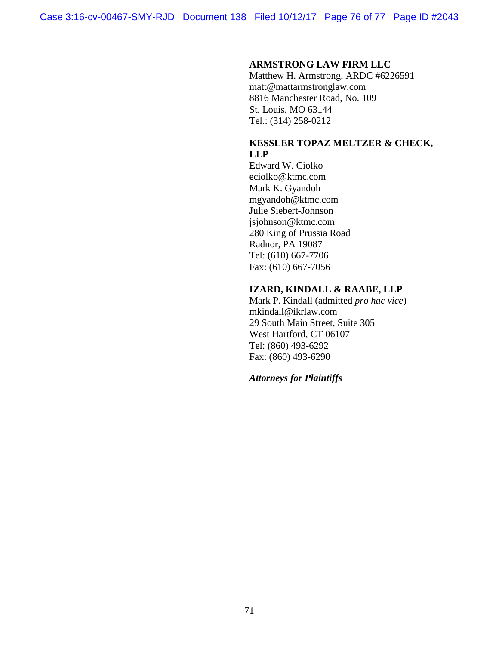### **ARMSTRONG LAW FIRM LLC**

Matthew H. Armstrong, ARDC #6226591 matt@mattarmstronglaw.com 8816 Manchester Road, No. 109 St. Louis, MO 63144 Tel.: (314) 258-0212

## **KESSLER TOPAZ MELTZER & CHECK, LLP**

Edward W. Ciolko eciolko@ktmc.com Mark K. Gyandoh mgyandoh@ktmc.com Julie Siebert-Johnson jsjohnson@ktmc.com 280 King of Prussia Road Radnor, PA 19087 Tel: (610) 667-7706 Fax: (610) 667-7056

#### **IZARD, KINDALL & RAABE, LLP**

Mark P. Kindall (admitted *pro hac vice*) mkindall@ikrlaw.com 29 South Main Street, Suite 305 West Hartford, CT 06107 Tel: (860) 493-6292 Fax: (860) 493-6290

# *Attorneys for Plaintiffs*